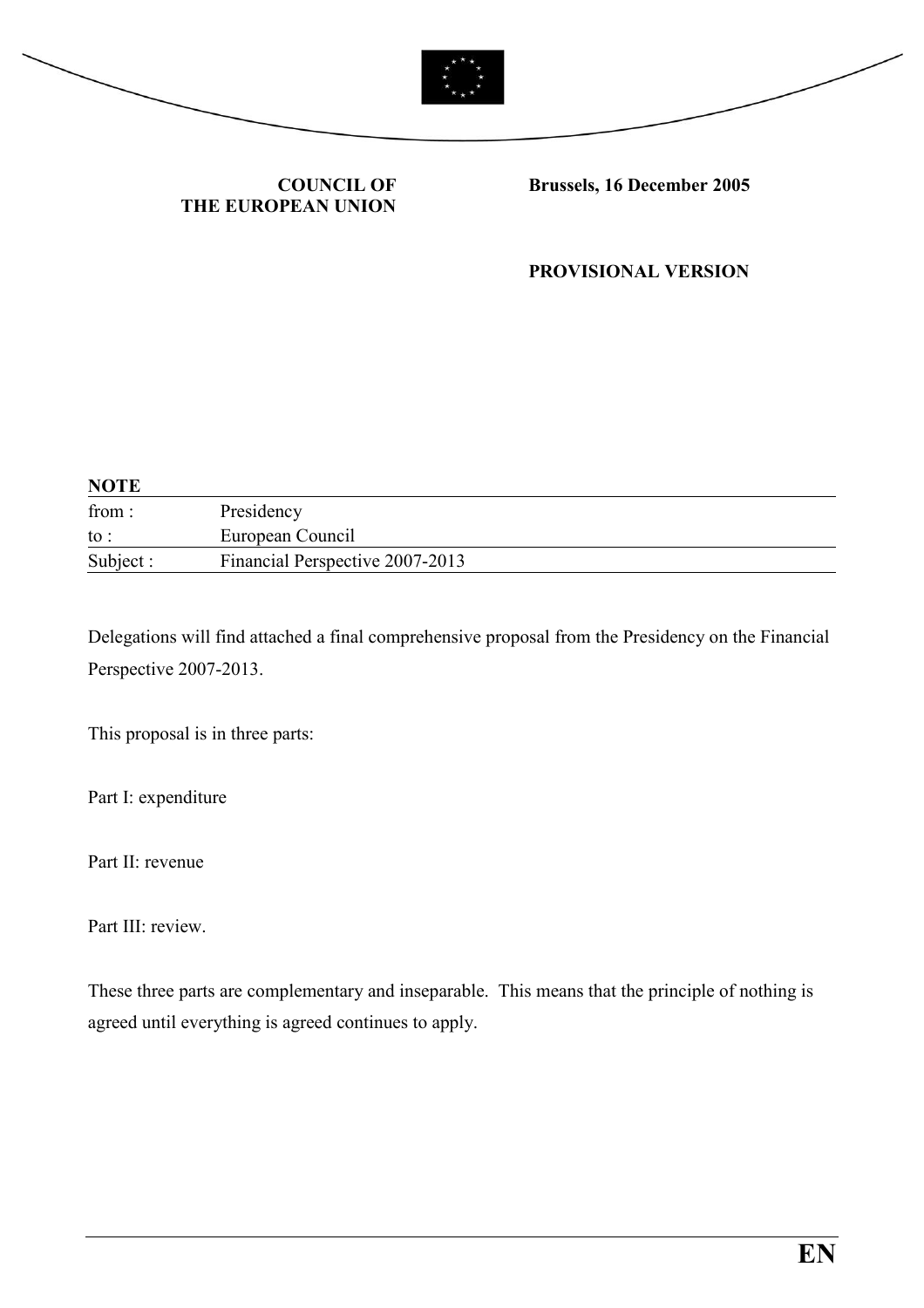



#### COUNCIL OF THE EUROPEAN UNION

Brussels, 16 December 2005

PROVISIONAL VERSION

| <b>NOTE</b> |                                 |
|-------------|---------------------------------|
| from:       | Presidency                      |
| to :        | European Council                |
| Subject :   | Financial Perspective 2007-2013 |

Delegations will find attached a final comprehensive proposal from the Presidency on the Financial Perspective 2007-2013.

This proposal is in three parts:

Part I: expenditure

Part II: revenue

Part III: review.

These three parts are complementary and inseparable. This means that the principle of nothing is agreed until everything is agreed continues to apply.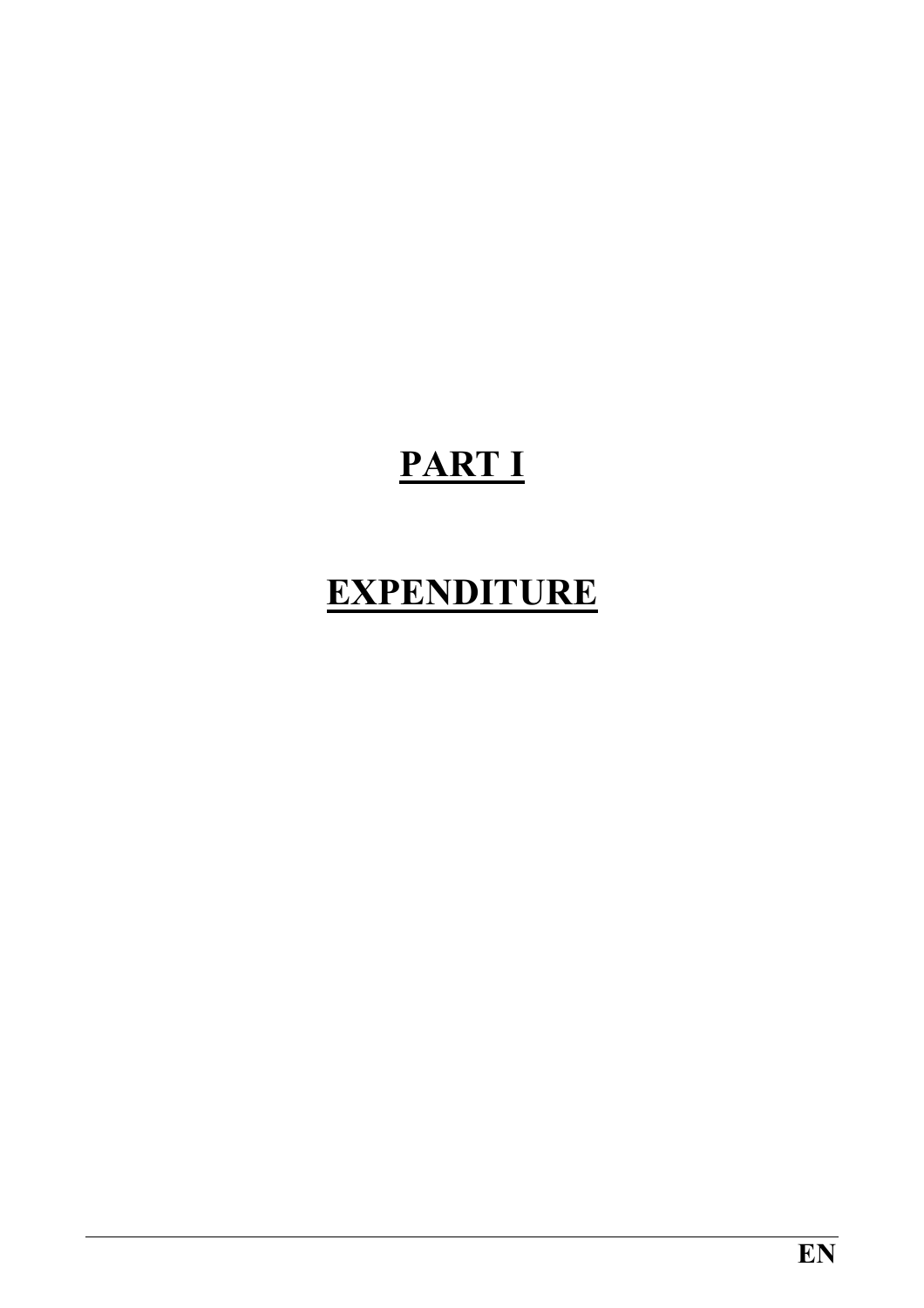# PART I

### EXPENDITURE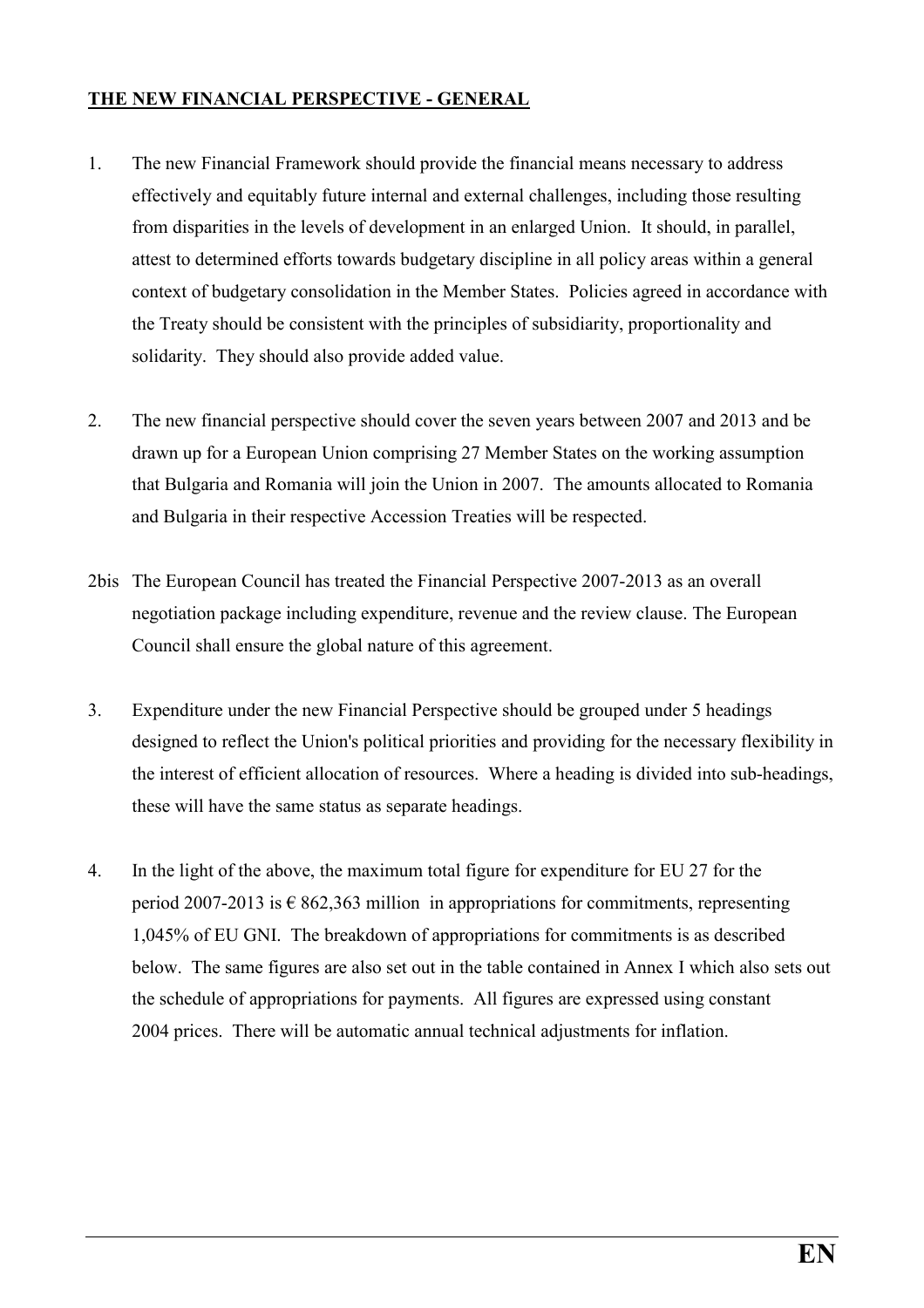#### THE NEW FINANCIAL PERSPECTIVE - GENERAL

- 1. The new Financial Framework should provide the financial means necessary to address effectively and equitably future internal and external challenges, including those resulting from disparities in the levels of development in an enlarged Union. It should, in parallel, attest to determined efforts towards budgetary discipline in all policy areas within a general context of budgetary consolidation in the Member States. Policies agreed in accordance with the Treaty should be consistent with the principles of subsidiarity, proportionality and solidarity. They should also provide added value.
- 2. The new financial perspective should cover the seven years between 2007 and 2013 and be drawn up for a European Union comprising 27 Member States on the working assumption that Bulgaria and Romania will join the Union in 2007. The amounts allocated to Romania and Bulgaria in their respective Accession Treaties will be respected.
- 2bis The European Council has treated the Financial Perspective 2007-2013 as an overall negotiation package including expenditure, revenue and the review clause. The European Council shall ensure the global nature of this agreement.
- 3. Expenditure under the new Financial Perspective should be grouped under 5 headings designed to reflect the Union's political priorities and providing for the necessary flexibility in the interest of efficient allocation of resources. Where a heading is divided into sub-headings, these will have the same status as separate headings.
- 4. In the light of the above, the maximum total figure for expenditure for EU 27 for the period 2007-2013 is  $\epsilon$  862,363 million in appropriations for commitments, representing 1,045% of EU GNI. The breakdown of appropriations for commitments is as described below. The same figures are also set out in the table contained in Annex I which also sets out the schedule of appropriations for payments. All figures are expressed using constant 2004 prices. There will be automatic annual technical adjustments for inflation.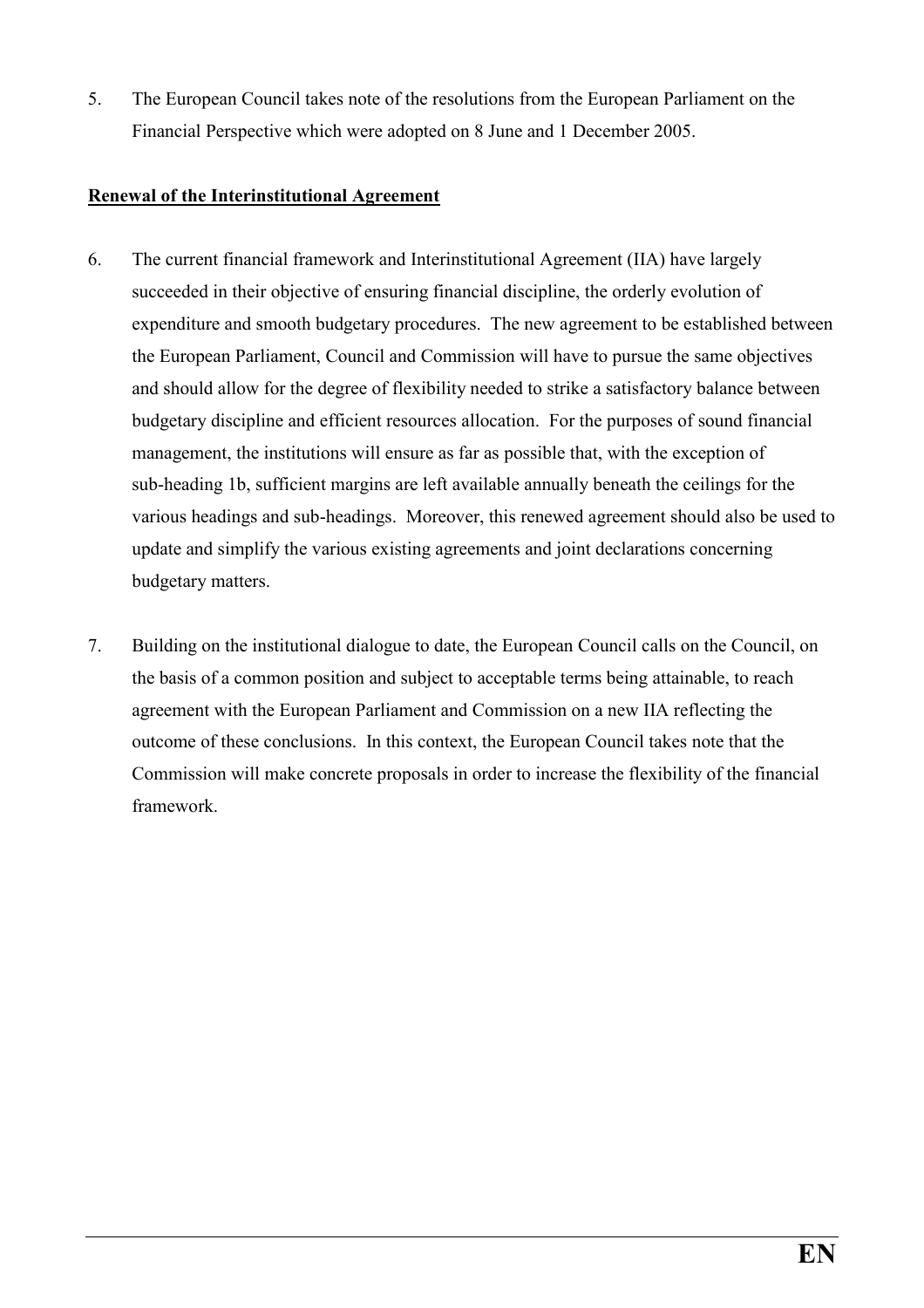5. The European Council takes note of the resolutions from the European Parliament on the Financial Perspective which were adopted on 8 June and 1 December 2005.

#### Renewal of the Interinstitutional Agreement

- 6. The current financial framework and Interinstitutional Agreement (IIA) have largely succeeded in their objective of ensuring financial discipline, the orderly evolution of expenditure and smooth budgetary procedures. The new agreement to be established between the European Parliament, Council and Commission will have to pursue the same objectives and should allow for the degree of flexibility needed to strike a satisfactory balance between budgetary discipline and efficient resources allocation. For the purposes of sound financial management, the institutions will ensure as far as possible that, with the exception of sub-heading 1b, sufficient margins are left available annually beneath the ceilings for the various headings and sub-headings. Moreover, this renewed agreement should also be used to update and simplify the various existing agreements and joint declarations concerning budgetary matters.
- 7. Building on the institutional dialogue to date, the European Council calls on the Council, on the basis of a common position and subject to acceptable terms being attainable, to reach agreement with the European Parliament and Commission on a new IIA reflecting the outcome of these conclusions. In this context, the European Council takes note that the Commission will make concrete proposals in order to increase the flexibility of the financial framework.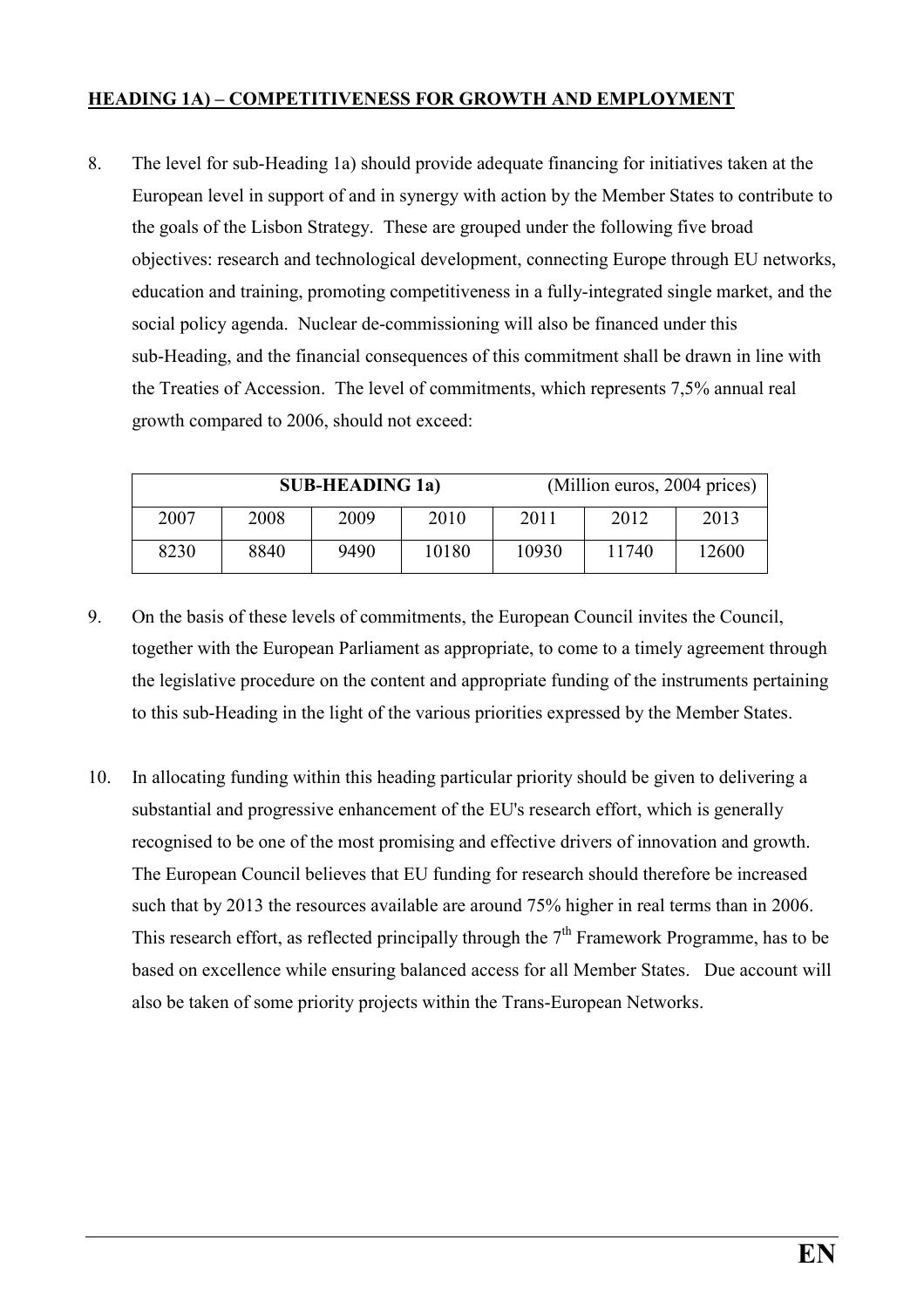#### HEADING 1A) – COMPETITIVENESS FOR GROWTH AND EMPLOYMENT

8. The level for sub-Heading 1a) should provide adequate financing for initiatives taken at the European level in support of and in synergy with action by the Member States to contribute to the goals of the Lisbon Strategy. These are grouped under the following five broad objectives: research and technological development, connecting Europe through EU networks, education and training, promoting competitiveness in a fully-integrated single market, and the social policy agenda. Nuclear de-commissioning will also be financed under this sub-Heading, and the financial consequences of this commitment shall be drawn in line with the Treaties of Accession. The level of commitments, which represents 7,5% annual real growth compared to 2006, should not exceed:

|      |      | <b>SUB-HEADING 1a)</b> |       | (Million euros, 2004 prices) |       |       |
|------|------|------------------------|-------|------------------------------|-------|-------|
| 2007 | 2008 | 2009                   | 2010  | 2011                         | 2012  | 2013  |
| 8230 | 8840 | 9490                   | 10180 | 10930                        | 11740 | 12600 |

- 9. On the basis of these levels of commitments, the European Council invites the Council, together with the European Parliament as appropriate, to come to a timely agreement through the legislative procedure on the content and appropriate funding of the instruments pertaining to this sub-Heading in the light of the various priorities expressed by the Member States.
- 10. In allocating funding within this heading particular priority should be given to delivering a substantial and progressive enhancement of the EU's research effort, which is generally recognised to be one of the most promising and effective drivers of innovation and growth. The European Council believes that EU funding for research should therefore be increased such that by 2013 the resources available are around 75% higher in real terms than in 2006. This research effort, as reflected principally through the  $7<sup>th</sup>$  Framework Programme, has to be based on excellence while ensuring balanced access for all Member States. Due account will also be taken of some priority projects within the Trans-European Networks.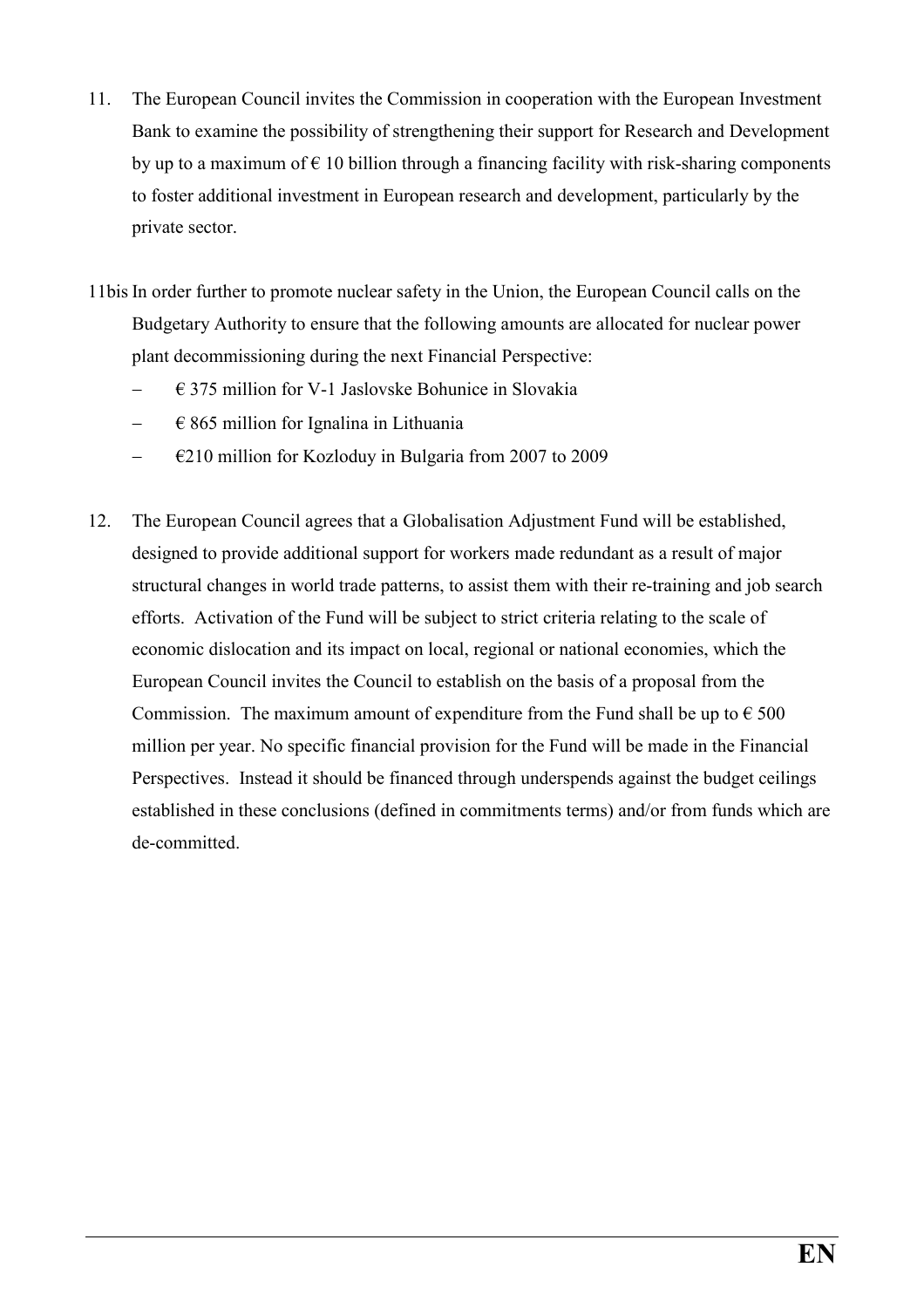- 11. The European Council invites the Commission in cooperation with the European Investment Bank to examine the possibility of strengthening their support for Research and Development by up to a maximum of  $\epsilon$  10 billion through a financing facility with risk-sharing components to foster additional investment in European research and development, particularly by the private sector.
- 11bis In order further to promote nuclear safety in the Union, the European Council calls on the Budgetary Authority to ensure that the following amounts are allocated for nuclear power plant decommissioning during the next Financial Perspective:
	- − € 375 million for V-1 Jaslovske Bohunice in Slovakia
	- − € 865 million for Ignalina in Lithuania
	- − €210 million for Kozloduy in Bulgaria from 2007 to 2009
- 12. The European Council agrees that a Globalisation Adjustment Fund will be established, designed to provide additional support for workers made redundant as a result of major structural changes in world trade patterns, to assist them with their re-training and job search efforts. Activation of the Fund will be subject to strict criteria relating to the scale of economic dislocation and its impact on local, regional or national economies, which the European Council invites the Council to establish on the basis of a proposal from the Commission. The maximum amount of expenditure from the Fund shall be up to  $\epsilon$  500 million per year. No specific financial provision for the Fund will be made in the Financial Perspectives. Instead it should be financed through underspends against the budget ceilings established in these conclusions (defined in commitments terms) and/or from funds which are de-committed.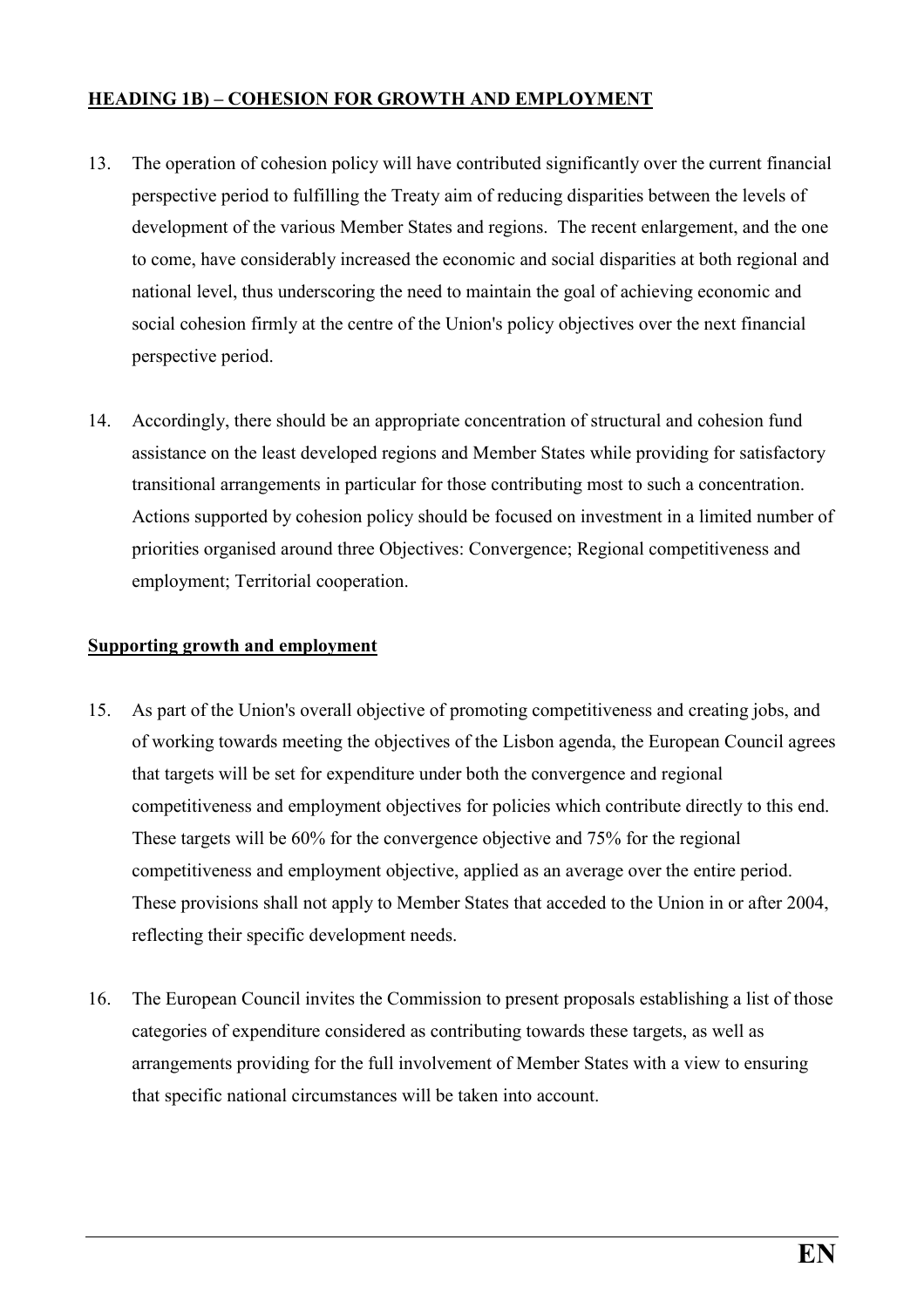#### HEADING 1B) – COHESION FOR GROWTH AND EMPLOYMENT

- 13. The operation of cohesion policy will have contributed significantly over the current financial perspective period to fulfilling the Treaty aim of reducing disparities between the levels of development of the various Member States and regions. The recent enlargement, and the one to come, have considerably increased the economic and social disparities at both regional and national level, thus underscoring the need to maintain the goal of achieving economic and social cohesion firmly at the centre of the Union's policy objectives over the next financial perspective period.
- 14. Accordingly, there should be an appropriate concentration of structural and cohesion fund assistance on the least developed regions and Member States while providing for satisfactory transitional arrangements in particular for those contributing most to such a concentration. Actions supported by cohesion policy should be focused on investment in a limited number of priorities organised around three Objectives: Convergence; Regional competitiveness and employment; Territorial cooperation.

#### Supporting growth and employment

- 15. As part of the Union's overall objective of promoting competitiveness and creating jobs, and of working towards meeting the objectives of the Lisbon agenda, the European Council agrees that targets will be set for expenditure under both the convergence and regional competitiveness and employment objectives for policies which contribute directly to this end. These targets will be 60% for the convergence objective and 75% for the regional competitiveness and employment objective, applied as an average over the entire period. These provisions shall not apply to Member States that acceded to the Union in or after 2004, reflecting their specific development needs.
- 16. The European Council invites the Commission to present proposals establishing a list of those categories of expenditure considered as contributing towards these targets, as well as arrangements providing for the full involvement of Member States with a view to ensuring that specific national circumstances will be taken into account.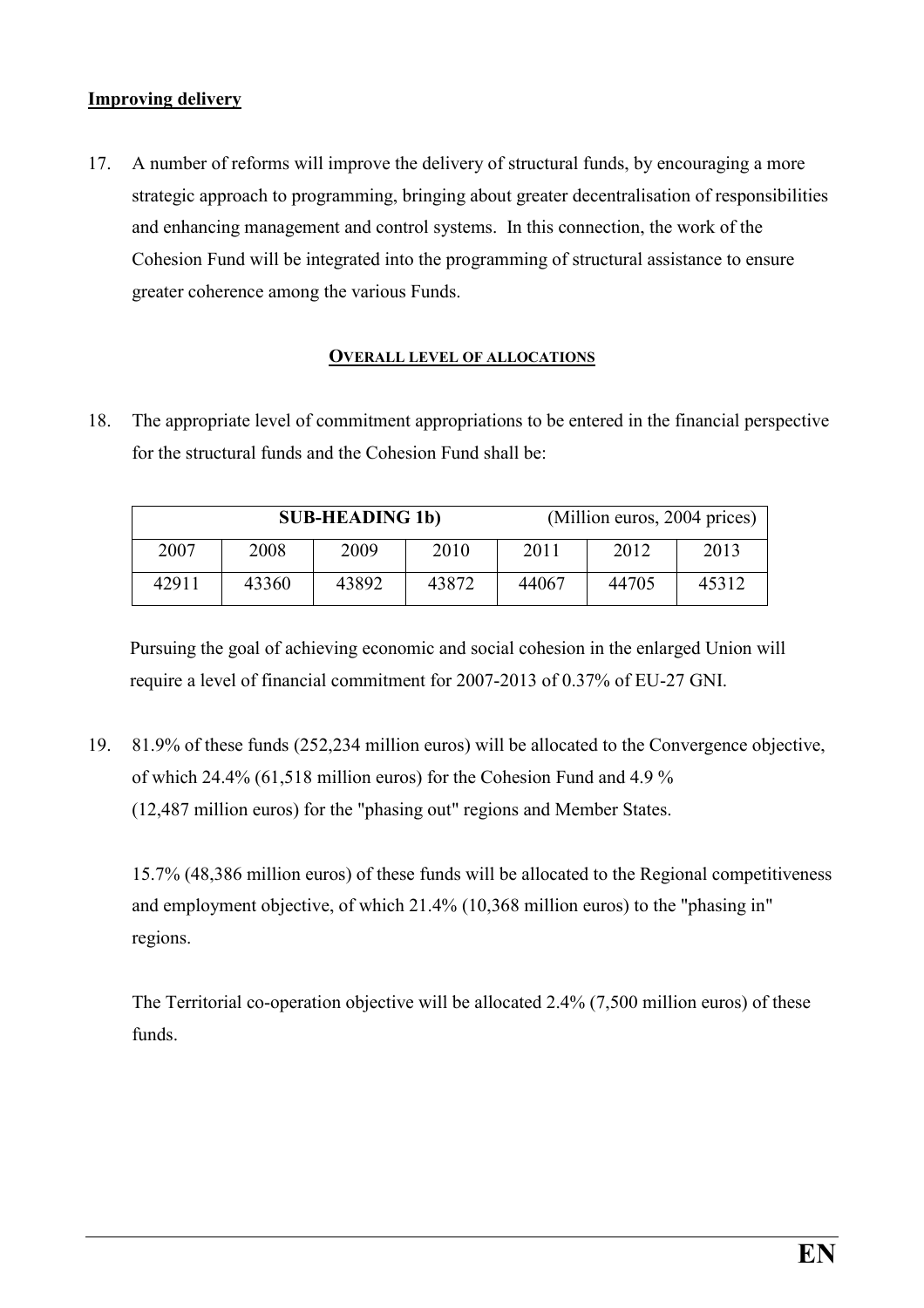#### Improving delivery

17. A number of reforms will improve the delivery of structural funds, by encouraging a more strategic approach to programming, bringing about greater decentralisation of responsibilities and enhancing management and control systems. In this connection, the work of the Cohesion Fund will be integrated into the programming of structural assistance to ensure greater coherence among the various Funds.

#### OVERALL LEVEL OF ALLOCATIONS

18. The appropriate level of commitment appropriations to be entered in the financial perspective for the structural funds and the Cohesion Fund shall be:

|       |       | <b>SUB-HEADING 1b)</b> |       | (Million euros, 2004 prices) |       |       |
|-------|-------|------------------------|-------|------------------------------|-------|-------|
| 2007  | 2008  | 2009                   | 2010  | 2011                         | 2012  | 2013  |
| 42911 | 43360 | 43892                  | 43872 | 44067                        | 44705 | 45312 |

Pursuing the goal of achieving economic and social cohesion in the enlarged Union will require a level of financial commitment for 2007-2013 of 0.37% of EU-27 GNI.

19. 81.9% of these funds (252,234 million euros) will be allocated to the Convergence objective, of which 24.4% (61,518 million euros) for the Cohesion Fund and 4.9 % (12,487 million euros) for the "phasing out" regions and Member States.

15.7% (48,386 million euros) of these funds will be allocated to the Regional competitiveness and employment objective, of which 21.4% (10,368 million euros) to the "phasing in" regions.

The Territorial co-operation objective will be allocated 2.4% (7,500 million euros) of these funds.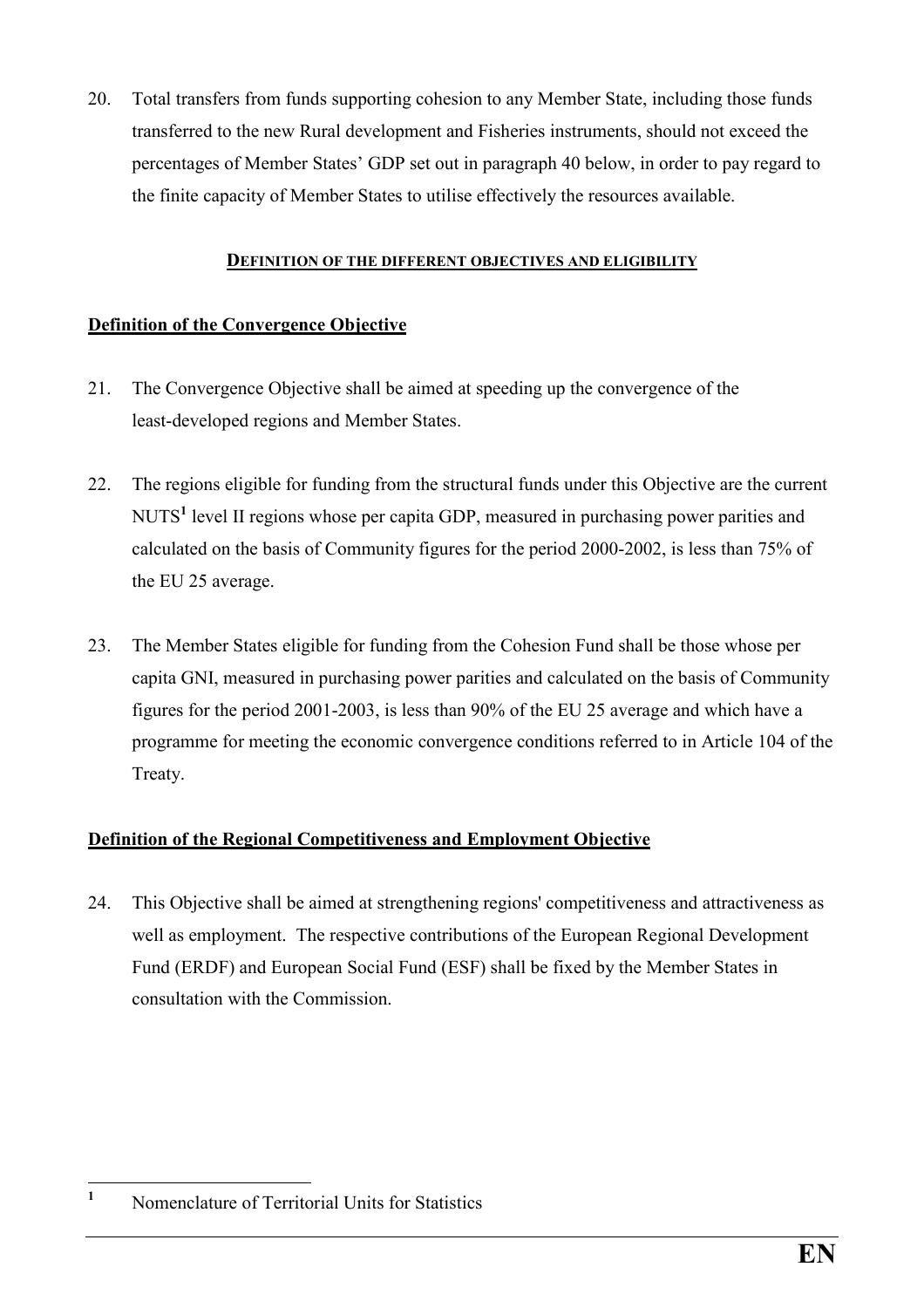20. Total transfers from funds supporting cohesion to any Member State, including those funds transferred to the new Rural development and Fisheries instruments, should not exceed the percentages of Member States' GDP set out in paragraph 40 below, in order to pay regard to the finite capacity of Member States to utilise effectively the resources available.

#### DEFINITION OF THE DIFFERENT OBJECTIVES AND ELIGIBILITY

#### Definition of the Convergence Objective

- 21. The Convergence Objective shall be aimed at speeding up the convergence of the least-developed regions and Member States.
- 22. The regions eligible for funding from the structural funds under this Objective are the current NUTS<sup>1</sup> level II regions whose per capita GDP, measured in purchasing power parities and calculated on the basis of Community figures for the period 2000-2002, is less than 75% of the EU 25 average.
- 23. The Member States eligible for funding from the Cohesion Fund shall be those whose per capita GNI, measured in purchasing power parities and calculated on the basis of Community figures for the period 2001-2003, is less than 90% of the EU 25 average and which have a programme for meeting the economic convergence conditions referred to in Article 104 of the Treaty.

#### Definition of the Regional Competitiveness and Employment Objective

24. This Objective shall be aimed at strengthening regions' competitiveness and attractiveness as well as employment. The respective contributions of the European Regional Development Fund (ERDF) and European Social Fund (ESF) shall be fixed by the Member States in consultation with the Commission.

 $\frac{1}{1}$ Nomenclature of Territorial Units for Statistics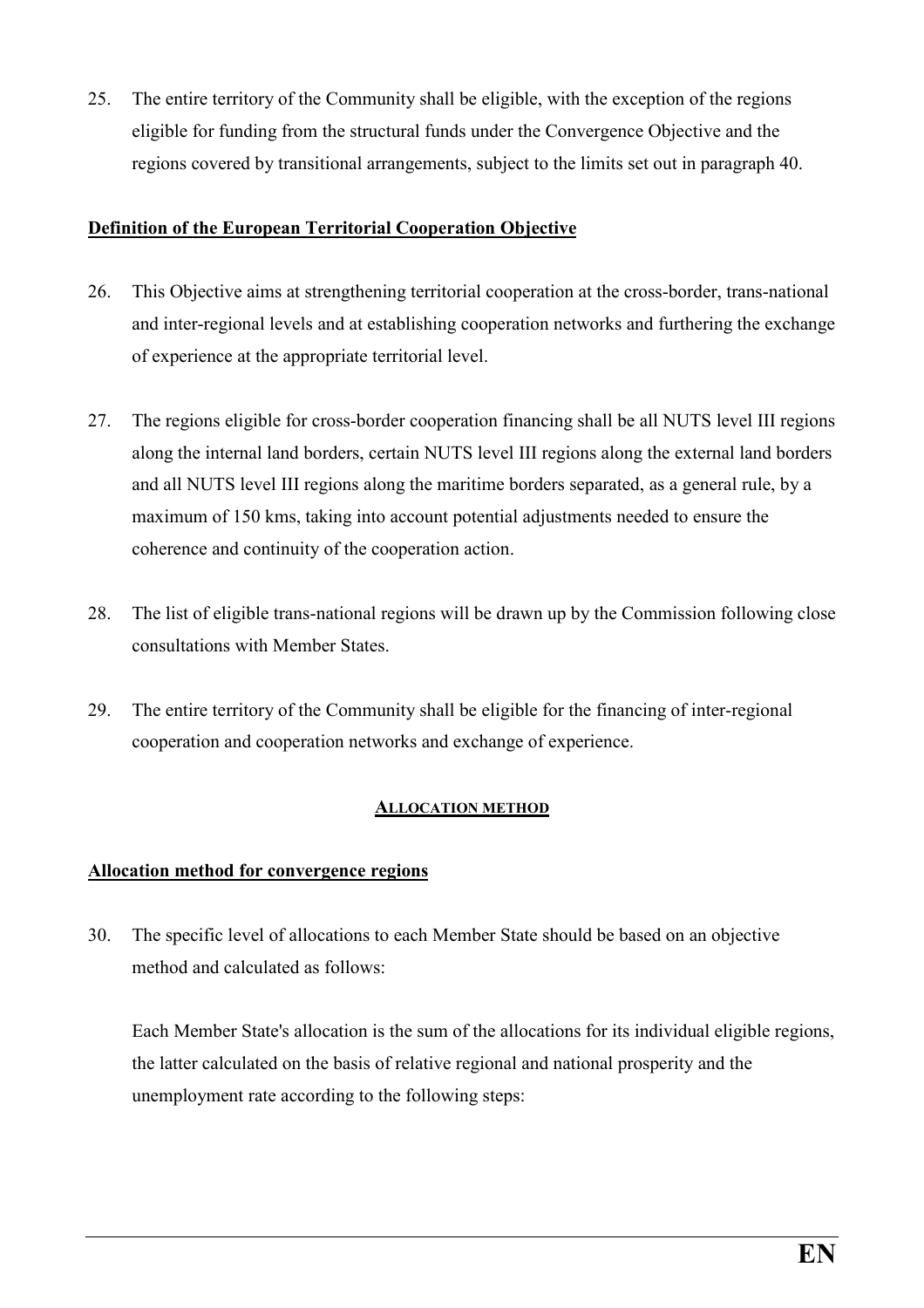25. The entire territory of the Community shall be eligible, with the exception of the regions eligible for funding from the structural funds under the Convergence Objective and the regions covered by transitional arrangements, subject to the limits set out in paragraph 40.

#### Definition of the European Territorial Cooperation Objective

- 26. This Objective aims at strengthening territorial cooperation at the cross-border, trans-national and inter-regional levels and at establishing cooperation networks and furthering the exchange of experience at the appropriate territorial level.
- 27. The regions eligible for cross-border cooperation financing shall be all NUTS level III regions along the internal land borders, certain NUTS level III regions along the external land borders and all NUTS level III regions along the maritime borders separated, as a general rule, by a maximum of 150 kms, taking into account potential adjustments needed to ensure the coherence and continuity of the cooperation action.
- 28. The list of eligible trans-national regions will be drawn up by the Commission following close consultations with Member States.
- 29. The entire territory of the Community shall be eligible for the financing of inter-regional cooperation and cooperation networks and exchange of experience.

#### ALLOCATION METHOD

#### Allocation method for convergence regions

30. The specific level of allocations to each Member State should be based on an objective method and calculated as follows:

Each Member State's allocation is the sum of the allocations for its individual eligible regions, the latter calculated on the basis of relative regional and national prosperity and the unemployment rate according to the following steps: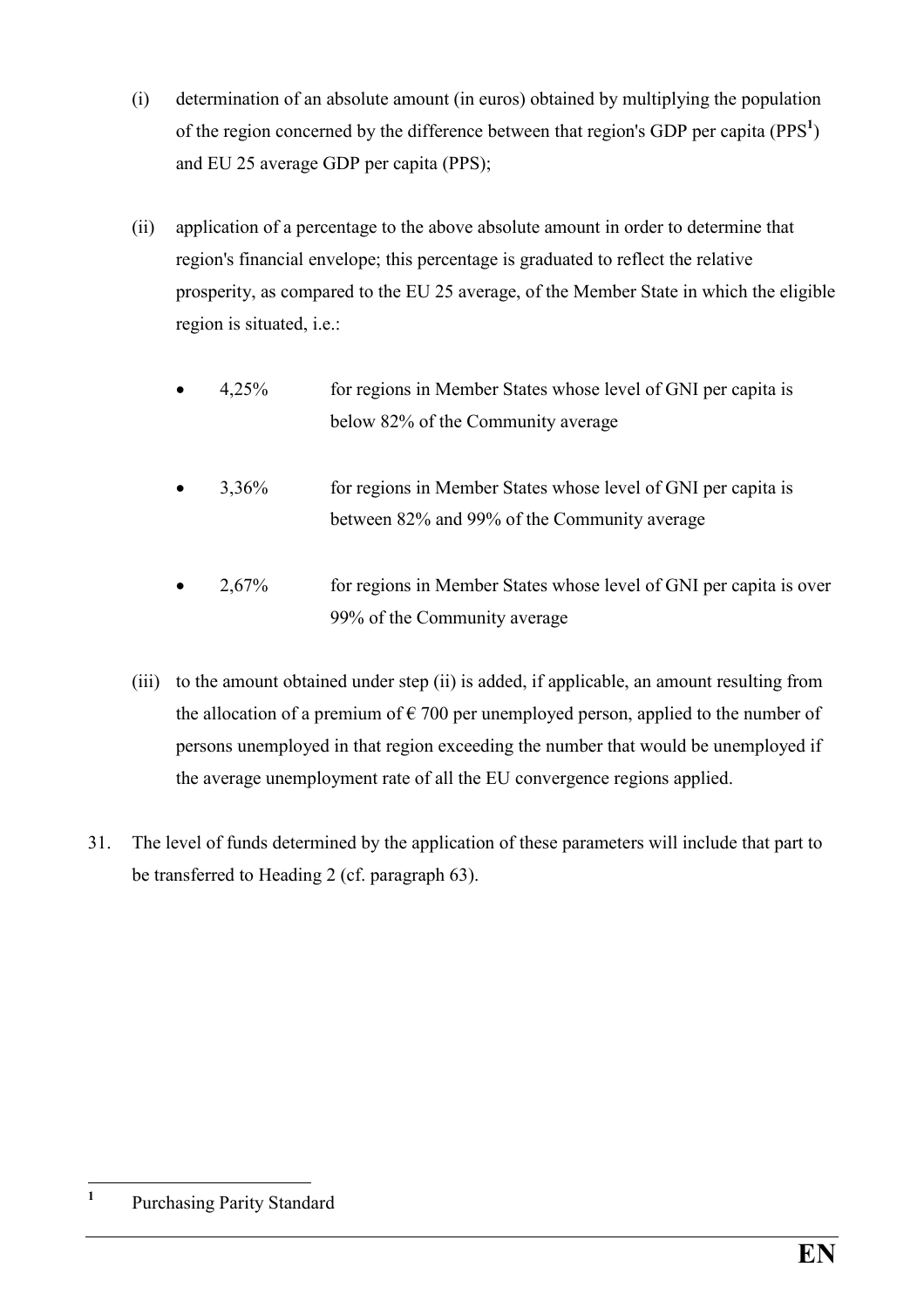- (i) determination of an absolute amount (in euros) obtained by multiplying the population of the region concerned by the difference between that region's GDP per capita ( $PPS<sup>1</sup>$ ) and EU 25 average GDP per capita (PPS);
- (ii) application of a percentage to the above absolute amount in order to determine that region's financial envelope; this percentage is graduated to reflect the relative prosperity, as compared to the EU 25 average, of the Member State in which the eligible region is situated, i.e.:
	- 4,25% for regions in Member States whose level of GNI per capita is below 82% of the Community average
	- 3,36% for regions in Member States whose level of GNI per capita is between 82% and 99% of the Community average
	- 2,67% for regions in Member States whose level of GNI per capita is over 99% of the Community average
- (iii) to the amount obtained under step (ii) is added, if applicable, an amount resulting from the allocation of a premium of  $\epsilon$  700 per unemployed person, applied to the number of persons unemployed in that region exceeding the number that would be unemployed if the average unemployment rate of all the EU convergence regions applied.
- 31. The level of funds determined by the application of these parameters will include that part to be transferred to Heading 2 (cf. paragraph 63).

 $\frac{1}{1}$ Purchasing Parity Standard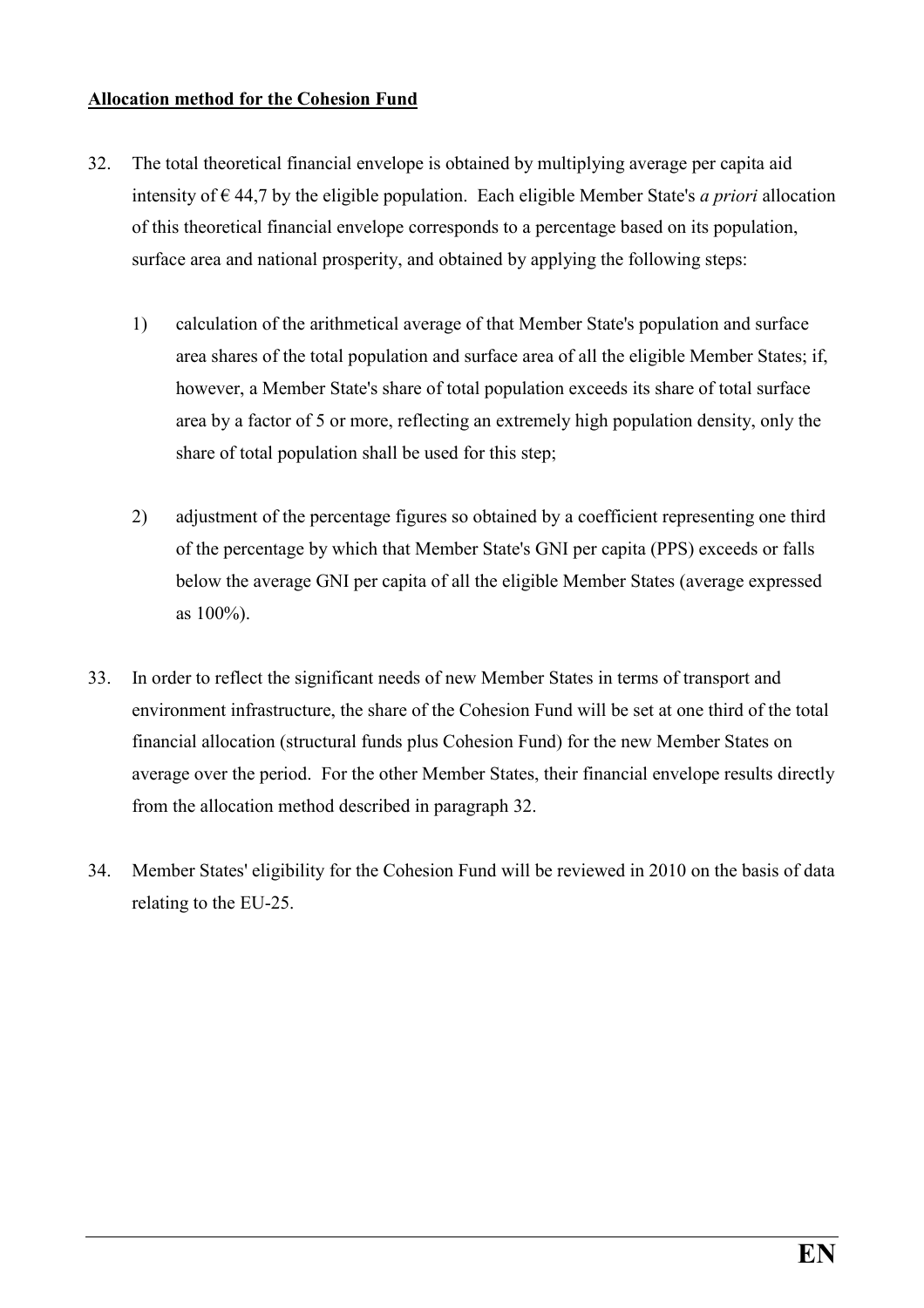#### Allocation method for the Cohesion Fund

- 32. The total theoretical financial envelope is obtained by multiplying average per capita aid intensity of  $\epsilon$  44,7 by the eligible population. Each eligible Member State's *a priori* allocation of this theoretical financial envelope corresponds to a percentage based on its population, surface area and national prosperity, and obtained by applying the following steps:
	- 1) calculation of the arithmetical average of that Member State's population and surface area shares of the total population and surface area of all the eligible Member States; if, however, a Member State's share of total population exceeds its share of total surface area by a factor of 5 or more, reflecting an extremely high population density, only the share of total population shall be used for this step;
	- 2) adjustment of the percentage figures so obtained by a coefficient representing one third of the percentage by which that Member State's GNI per capita (PPS) exceeds or falls below the average GNI per capita of all the eligible Member States (average expressed as 100%).
- 33. In order to reflect the significant needs of new Member States in terms of transport and environment infrastructure, the share of the Cohesion Fund will be set at one third of the total financial allocation (structural funds plus Cohesion Fund) for the new Member States on average over the period. For the other Member States, their financial envelope results directly from the allocation method described in paragraph 32.
- 34. Member States' eligibility for the Cohesion Fund will be reviewed in 2010 on the basis of data relating to the EU-25.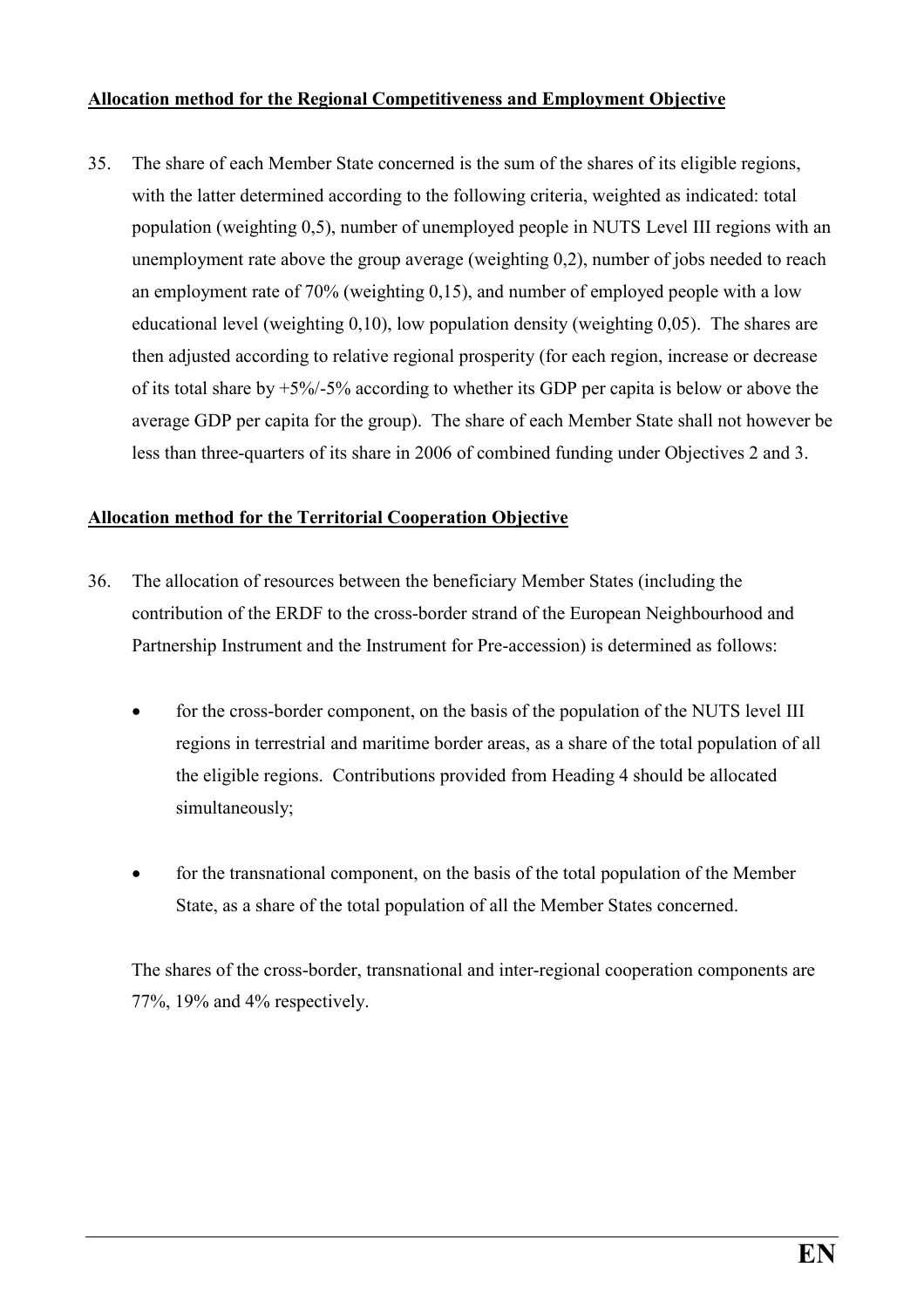#### Allocation method for the Regional Competitiveness and Employment Objective

35. The share of each Member State concerned is the sum of the shares of its eligible regions, with the latter determined according to the following criteria, weighted as indicated: total population (weighting 0,5), number of unemployed people in NUTS Level III regions with an unemployment rate above the group average (weighting 0,2), number of jobs needed to reach an employment rate of 70% (weighting 0,15), and number of employed people with a low educational level (weighting 0,10), low population density (weighting 0,05). The shares are then adjusted according to relative regional prosperity (for each region, increase or decrease of its total share by  $+5\%/-5\%$  according to whether its GDP per capita is below or above the average GDP per capita for the group). The share of each Member State shall not however be less than three-quarters of its share in 2006 of combined funding under Objectives 2 and 3.

#### Allocation method for the Territorial Cooperation Objective

- 36. The allocation of resources between the beneficiary Member States (including the contribution of the ERDF to the cross-border strand of the European Neighbourhood and Partnership Instrument and the Instrument for Pre-accession) is determined as follows:
	- for the cross-border component, on the basis of the population of the NUTS level III regions in terrestrial and maritime border areas, as a share of the total population of all the eligible regions. Contributions provided from Heading 4 should be allocated simultaneously;
	- for the transnational component, on the basis of the total population of the Member State, as a share of the total population of all the Member States concerned.

The shares of the cross-border, transnational and inter-regional cooperation components are 77%, 19% and 4% respectively.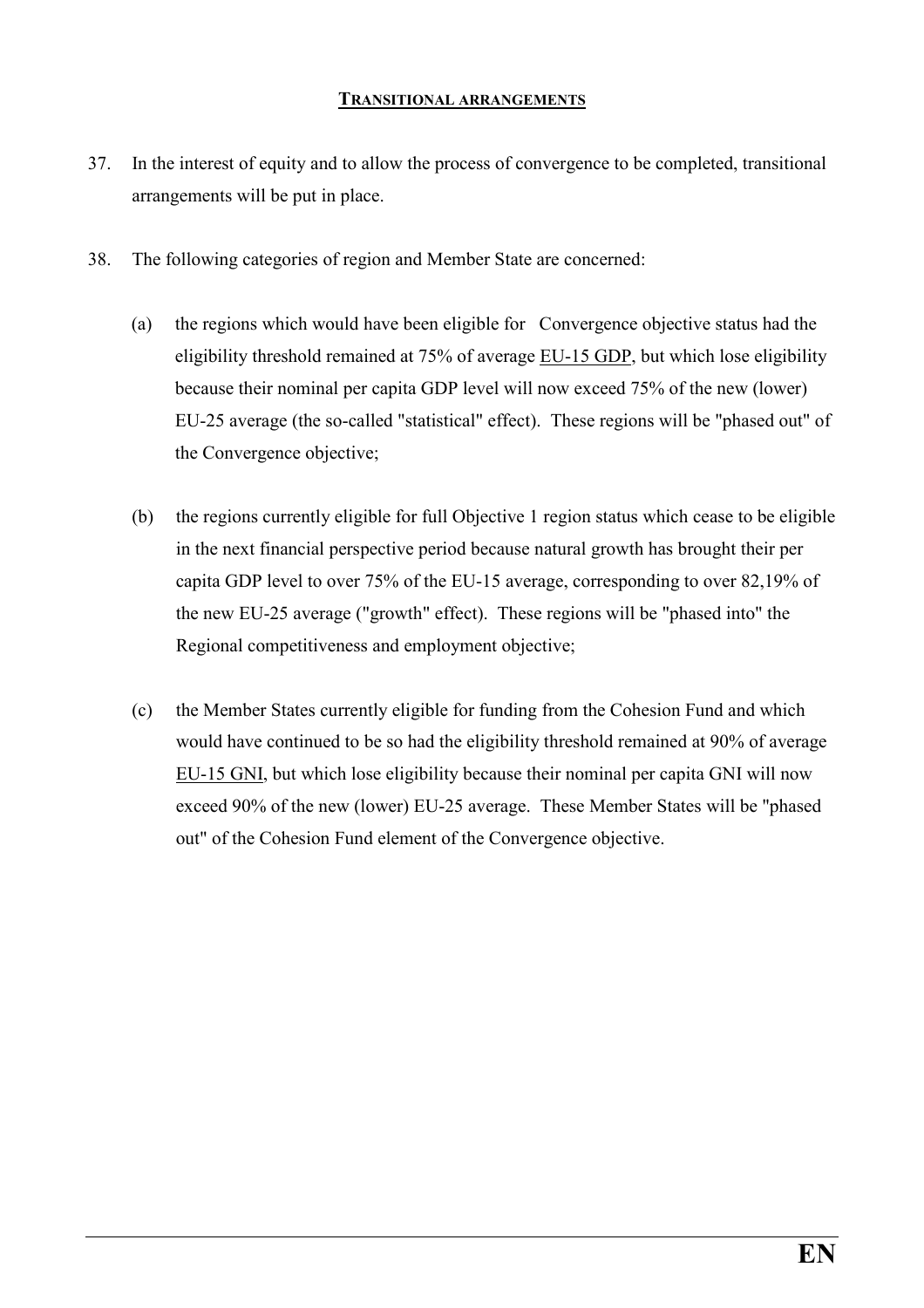#### TRANSITIONAL ARRANGEMENTS

- 37. In the interest of equity and to allow the process of convergence to be completed, transitional arrangements will be put in place.
- 38. The following categories of region and Member State are concerned:
	- (a) the regions which would have been eligible for Convergence objective status had the eligibility threshold remained at 75% of average EU-15 GDP, but which lose eligibility because their nominal per capita GDP level will now exceed 75% of the new (lower) EU-25 average (the so-called "statistical" effect). These regions will be "phased out" of the Convergence objective;
	- (b) the regions currently eligible for full Objective 1 region status which cease to be eligible in the next financial perspective period because natural growth has brought their per capita GDP level to over 75% of the EU-15 average, corresponding to over 82,19% of the new EU-25 average ("growth" effect). These regions will be "phased into" the Regional competitiveness and employment objective;
	- (c) the Member States currently eligible for funding from the Cohesion Fund and which would have continued to be so had the eligibility threshold remained at 90% of average EU-15 GNI, but which lose eligibility because their nominal per capita GNI will now exceed 90% of the new (lower) EU-25 average. These Member States will be "phased out" of the Cohesion Fund element of the Convergence objective.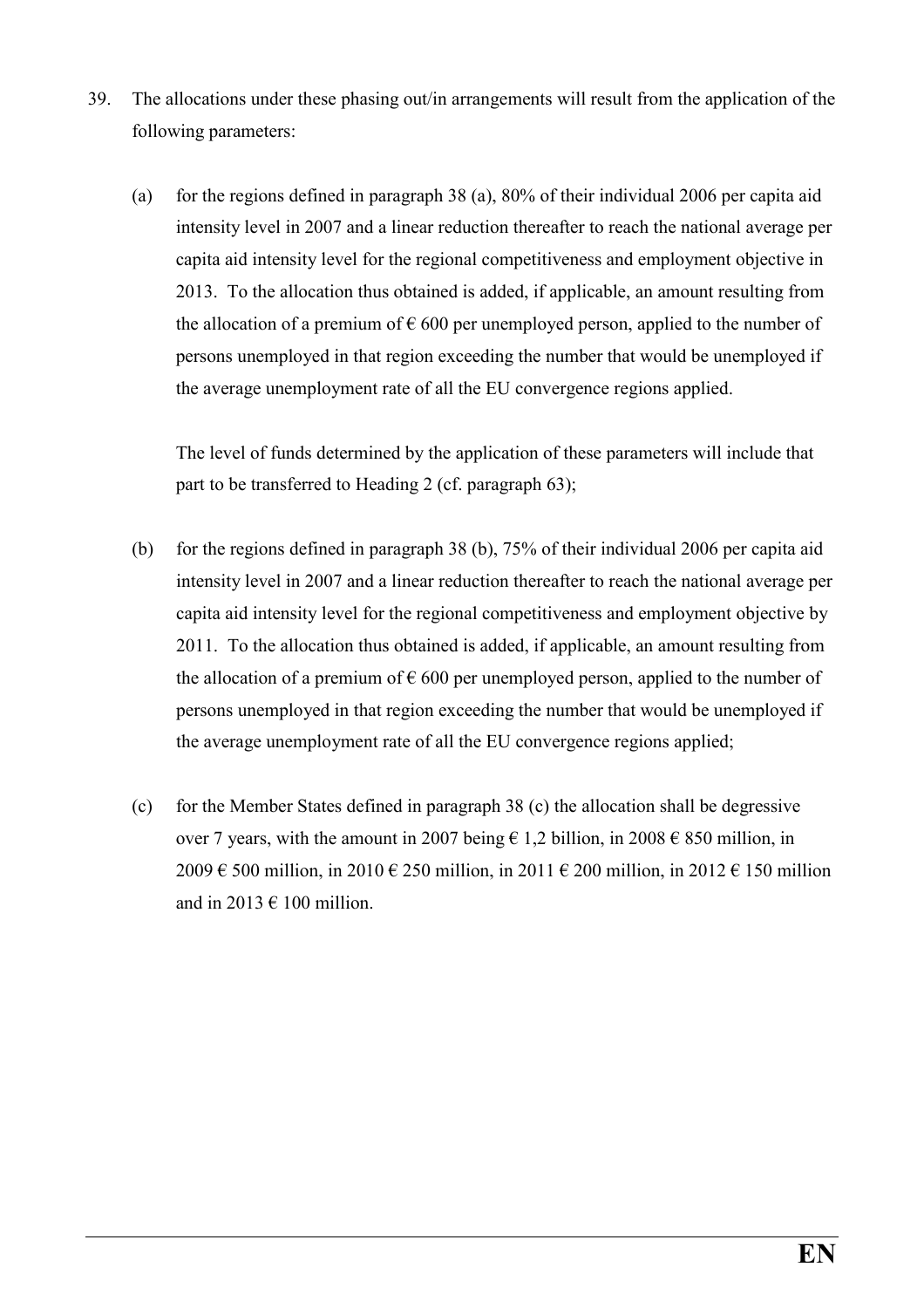- 39. The allocations under these phasing out/in arrangements will result from the application of the following parameters:
	- (a) for the regions defined in paragraph 38 (a), 80% of their individual 2006 per capita aid intensity level in 2007 and a linear reduction thereafter to reach the national average per capita aid intensity level for the regional competitiveness and employment objective in 2013. To the allocation thus obtained is added, if applicable, an amount resulting from the allocation of a premium of  $\epsilon$  600 per unemployed person, applied to the number of persons unemployed in that region exceeding the number that would be unemployed if the average unemployment rate of all the EU convergence regions applied.

The level of funds determined by the application of these parameters will include that part to be transferred to Heading 2 (cf. paragraph 63);

- (b) for the regions defined in paragraph 38 (b), 75% of their individual 2006 per capita aid intensity level in 2007 and a linear reduction thereafter to reach the national average per capita aid intensity level for the regional competitiveness and employment objective by 2011. To the allocation thus obtained is added, if applicable, an amount resulting from the allocation of a premium of  $\epsilon$  600 per unemployed person, applied to the number of persons unemployed in that region exceeding the number that would be unemployed if the average unemployment rate of all the EU convergence regions applied;
- (c) for the Member States defined in paragraph 38 (c) the allocation shall be degressive over 7 years, with the amount in 2007 being  $\epsilon$  1,2 billion, in 2008  $\epsilon$  850 million, in 2009 € 500 million, in 2010 € 250 million, in 2011 € 200 million, in 2012 € 150 million and in 2013  $\in$  100 million.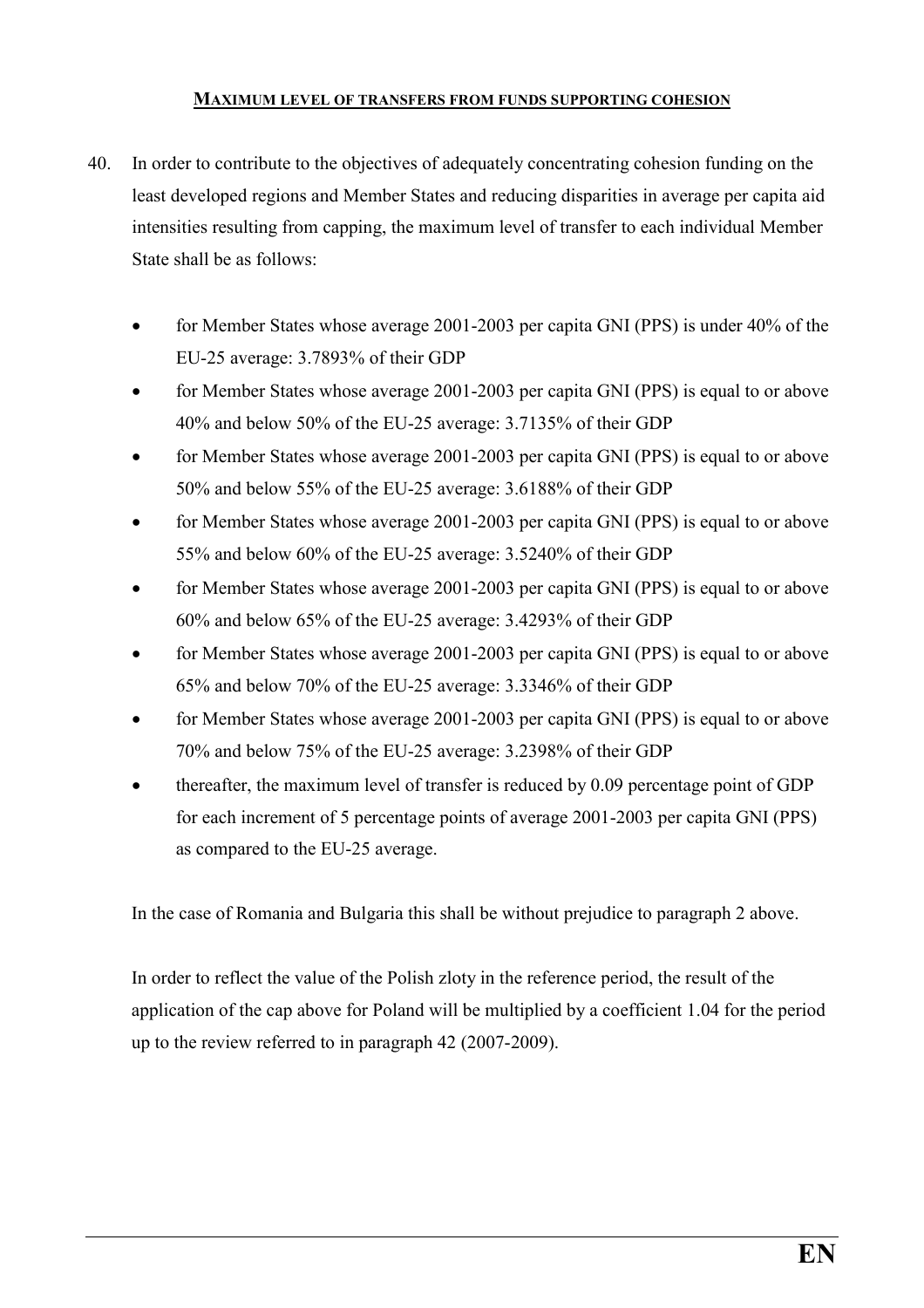#### MAXIMUM LEVEL OF TRANSFERS FROM FUNDS SUPPORTING COHESION

- 40. In order to contribute to the objectives of adequately concentrating cohesion funding on the least developed regions and Member States and reducing disparities in average per capita aid intensities resulting from capping, the maximum level of transfer to each individual Member State shall be as follows:
	- for Member States whose average 2001-2003 per capita GNI (PPS) is under 40% of the EU-25 average: 3.7893% of their GDP
	- for Member States whose average 2001-2003 per capita GNI (PPS) is equal to or above 40% and below 50% of the EU-25 average: 3.7135% of their GDP
	- for Member States whose average 2001-2003 per capita GNI (PPS) is equal to or above 50% and below 55% of the EU-25 average: 3.6188% of their GDP
	- for Member States whose average 2001-2003 per capita GNI (PPS) is equal to or above 55% and below 60% of the EU-25 average: 3.5240% of their GDP
	- for Member States whose average 2001-2003 per capita GNI (PPS) is equal to or above 60% and below 65% of the EU-25 average: 3.4293% of their GDP
	- for Member States whose average 2001-2003 per capita GNI (PPS) is equal to or above 65% and below 70% of the EU-25 average: 3.3346% of their GDP
	- for Member States whose average 2001-2003 per capita GNI (PPS) is equal to or above 70% and below 75% of the EU-25 average: 3.2398% of their GDP
	- thereafter, the maximum level of transfer is reduced by 0.09 percentage point of GDP for each increment of 5 percentage points of average 2001-2003 per capita GNI (PPS) as compared to the EU-25 average.

In the case of Romania and Bulgaria this shall be without prejudice to paragraph 2 above.

In order to reflect the value of the Polish zloty in the reference period, the result of the application of the cap above for Poland will be multiplied by a coefficient 1.04 for the period up to the review referred to in paragraph 42 (2007-2009).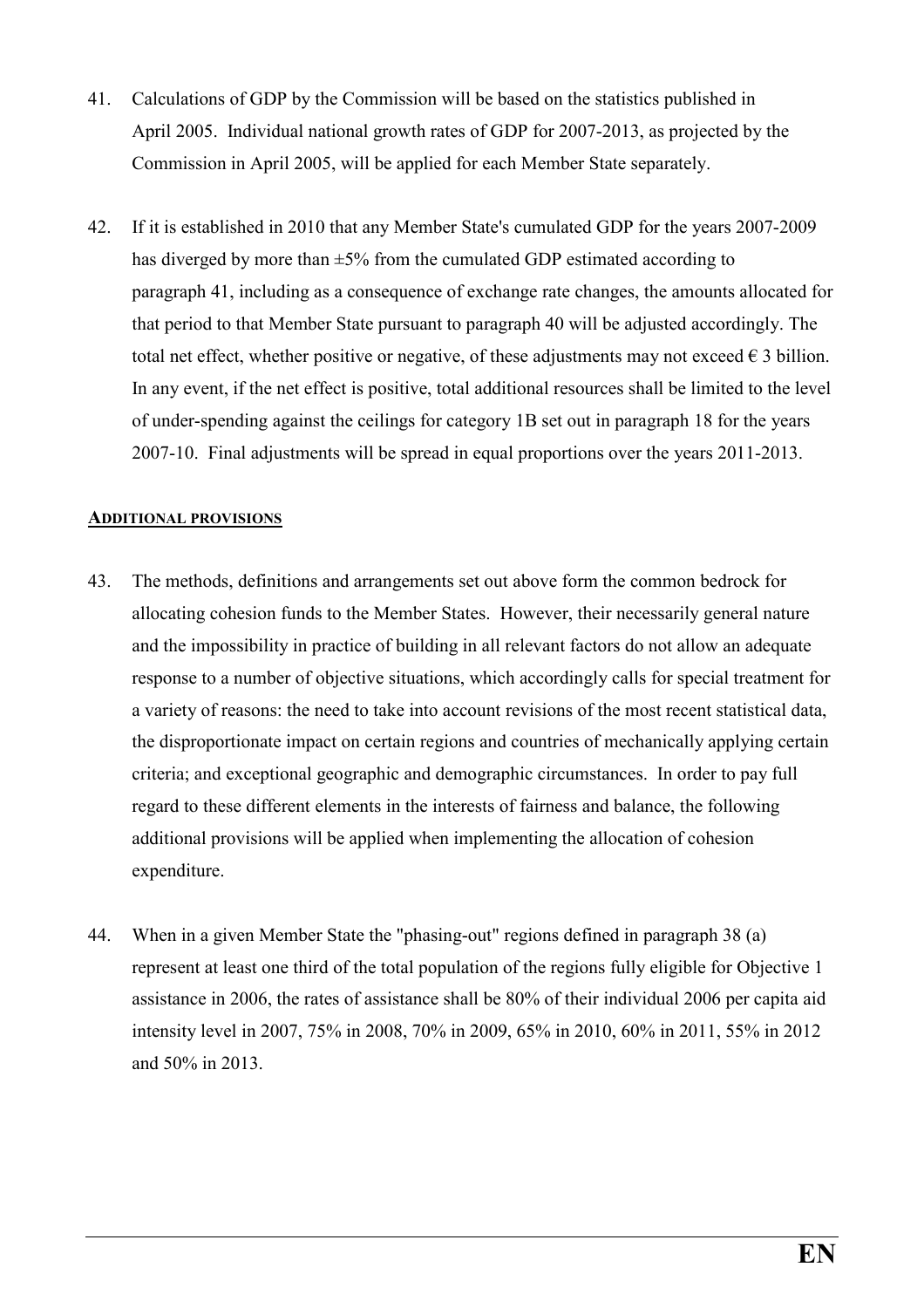- 41. Calculations of GDP by the Commission will be based on the statistics published in April 2005. Individual national growth rates of GDP for 2007-2013, as projected by the Commission in April 2005, will be applied for each Member State separately.
- 42. If it is established in 2010 that any Member State's cumulated GDP for the years 2007-2009 has diverged by more than  $\pm 5\%$  from the cumulated GDP estimated according to paragraph 41, including as a consequence of exchange rate changes, the amounts allocated for that period to that Member State pursuant to paragraph 40 will be adjusted accordingly. The total net effect, whether positive or negative, of these adjustments may not exceed  $\epsilon$  3 billion. In any event, if the net effect is positive, total additional resources shall be limited to the level of under-spending against the ceilings for category 1B set out in paragraph 18 for the years 2007-10. Final adjustments will be spread in equal proportions over the years 2011-2013.

#### ADDITIONAL PROVISIONS

- 43. The methods, definitions and arrangements set out above form the common bedrock for allocating cohesion funds to the Member States. However, their necessarily general nature and the impossibility in practice of building in all relevant factors do not allow an adequate response to a number of objective situations, which accordingly calls for special treatment for a variety of reasons: the need to take into account revisions of the most recent statistical data, the disproportionate impact on certain regions and countries of mechanically applying certain criteria; and exceptional geographic and demographic circumstances. In order to pay full regard to these different elements in the interests of fairness and balance, the following additional provisions will be applied when implementing the allocation of cohesion expenditure.
- 44. When in a given Member State the "phasing-out" regions defined in paragraph 38 (a) represent at least one third of the total population of the regions fully eligible for Objective 1 assistance in 2006, the rates of assistance shall be 80% of their individual 2006 per capita aid intensity level in 2007, 75% in 2008, 70% in 2009, 65% in 2010, 60% in 2011, 55% in 2012 and 50% in 2013.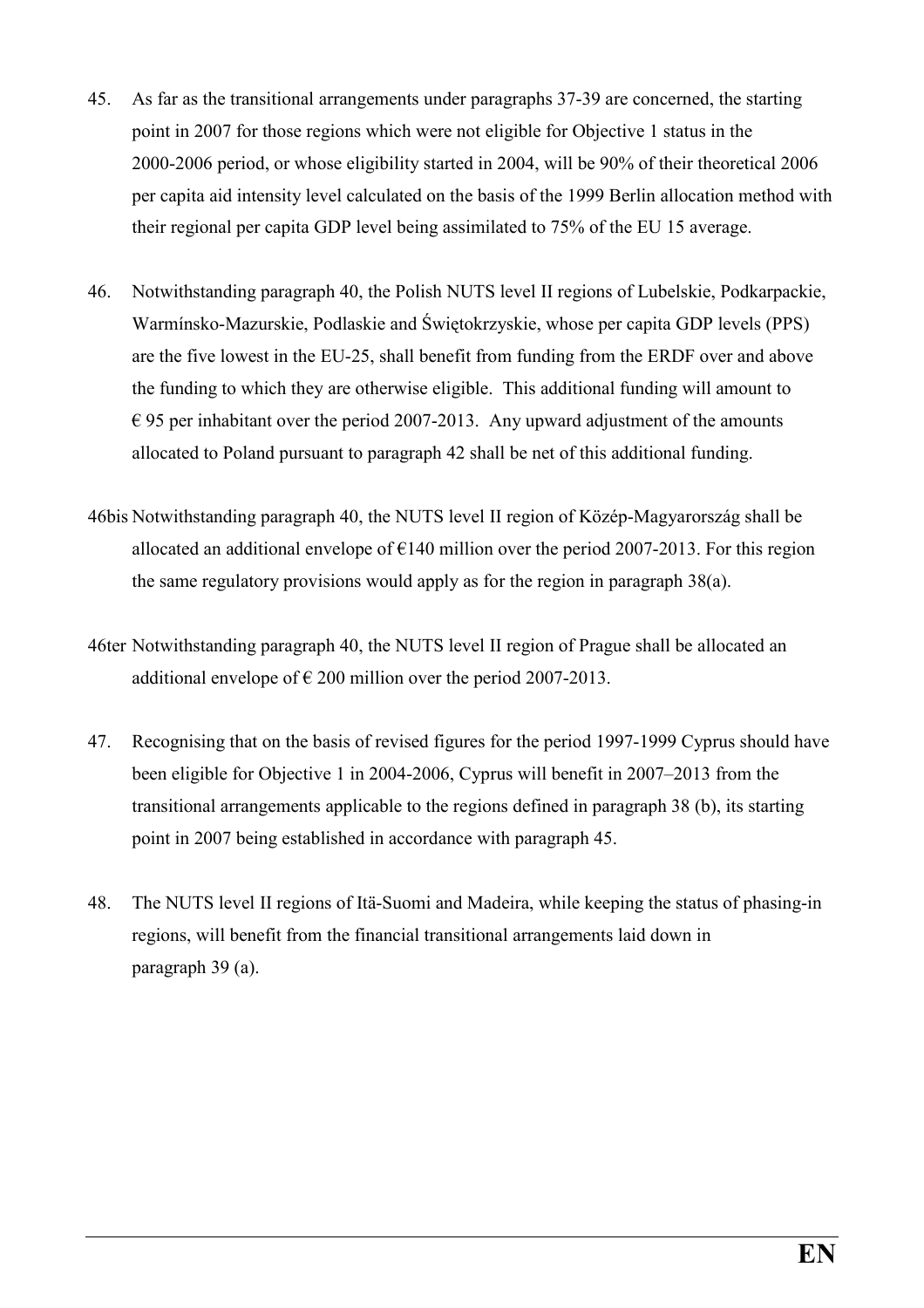- 45. As far as the transitional arrangements under paragraphs 37-39 are concerned, the starting point in 2007 for those regions which were not eligible for Objective 1 status in the 2000-2006 period, or whose eligibility started in 2004, will be 90% of their theoretical 2006 per capita aid intensity level calculated on the basis of the 1999 Berlin allocation method with their regional per capita GDP level being assimilated to 75% of the EU 15 average.
- 46. Notwithstanding paragraph 40, the Polish NUTS level II regions of Lubelskie, Podkarpackie, Warmínsko-Mazurskie, Podlaskie and Świętokrzyskie, whose per capita GDP levels (PPS) are the five lowest in the EU-25, shall benefit from funding from the ERDF over and above the funding to which they are otherwise eligible. This additional funding will amount to  $\epsilon$  95 per inhabitant over the period 2007-2013. Any upward adjustment of the amounts allocated to Poland pursuant to paragraph 42 shall be net of this additional funding.
- 46bis Notwithstanding paragraph 40, the NUTS level II region of Közép-Magyarország shall be allocated an additional envelope of  $\epsilon$ 140 million over the period 2007-2013. For this region the same regulatory provisions would apply as for the region in paragraph 38(a).
- 46ter Notwithstanding paragraph 40, the NUTS level II region of Prague shall be allocated an additional envelope of  $\epsilon$  200 million over the period 2007-2013.
- 47. Recognising that on the basis of revised figures for the period 1997-1999 Cyprus should have been eligible for Objective 1 in 2004-2006, Cyprus will benefit in 2007–2013 from the transitional arrangements applicable to the regions defined in paragraph 38 (b), its starting point in 2007 being established in accordance with paragraph 45.
- 48. The NUTS level II regions of Itä-Suomi and Madeira, while keeping the status of phasing-in regions, will benefit from the financial transitional arrangements laid down in paragraph 39 (a).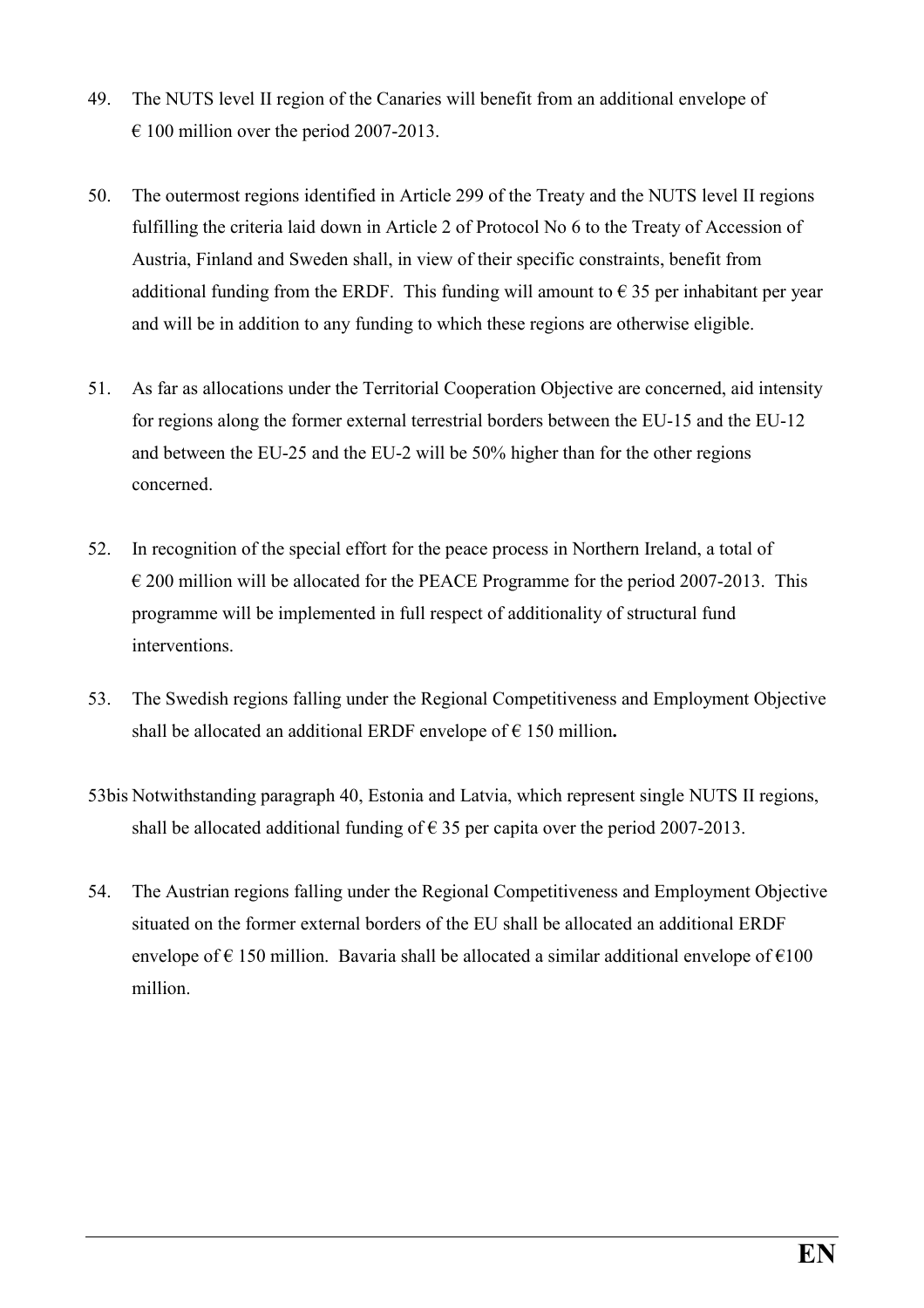- 49. The NUTS level II region of the Canaries will benefit from an additional envelope of  $\epsilon$  100 million over the period 2007-2013.
- 50. The outermost regions identified in Article 299 of the Treaty and the NUTS level II regions fulfilling the criteria laid down in Article 2 of Protocol No 6 to the Treaty of Accession of Austria, Finland and Sweden shall, in view of their specific constraints, benefit from additional funding from the ERDF. This funding will amount to  $\epsilon$  35 per inhabitant per year and will be in addition to any funding to which these regions are otherwise eligible.
- 51. As far as allocations under the Territorial Cooperation Objective are concerned, aid intensity for regions along the former external terrestrial borders between the EU-15 and the EU-12 and between the EU-25 and the EU-2 will be 50% higher than for the other regions concerned.
- 52. In recognition of the special effort for the peace process in Northern Ireland, a total of  $\epsilon$  200 million will be allocated for the PEACE Programme for the period 2007-2013. This programme will be implemented in full respect of additionality of structural fund interventions.
- 53. The Swedish regions falling under the Regional Competitiveness and Employment Objective shall be allocated an additional ERDF envelope of  $\epsilon$  150 million.
- 53bis Notwithstanding paragraph 40, Estonia and Latvia, which represent single NUTS II regions, shall be allocated additional funding of  $\epsilon$  35 per capita over the period 2007-2013.
- 54. The Austrian regions falling under the Regional Competitiveness and Employment Objective situated on the former external borders of the EU shall be allocated an additional ERDF envelope of  $\epsilon$  150 million. Bavaria shall be allocated a similar additional envelope of  $\epsilon$ 100 million.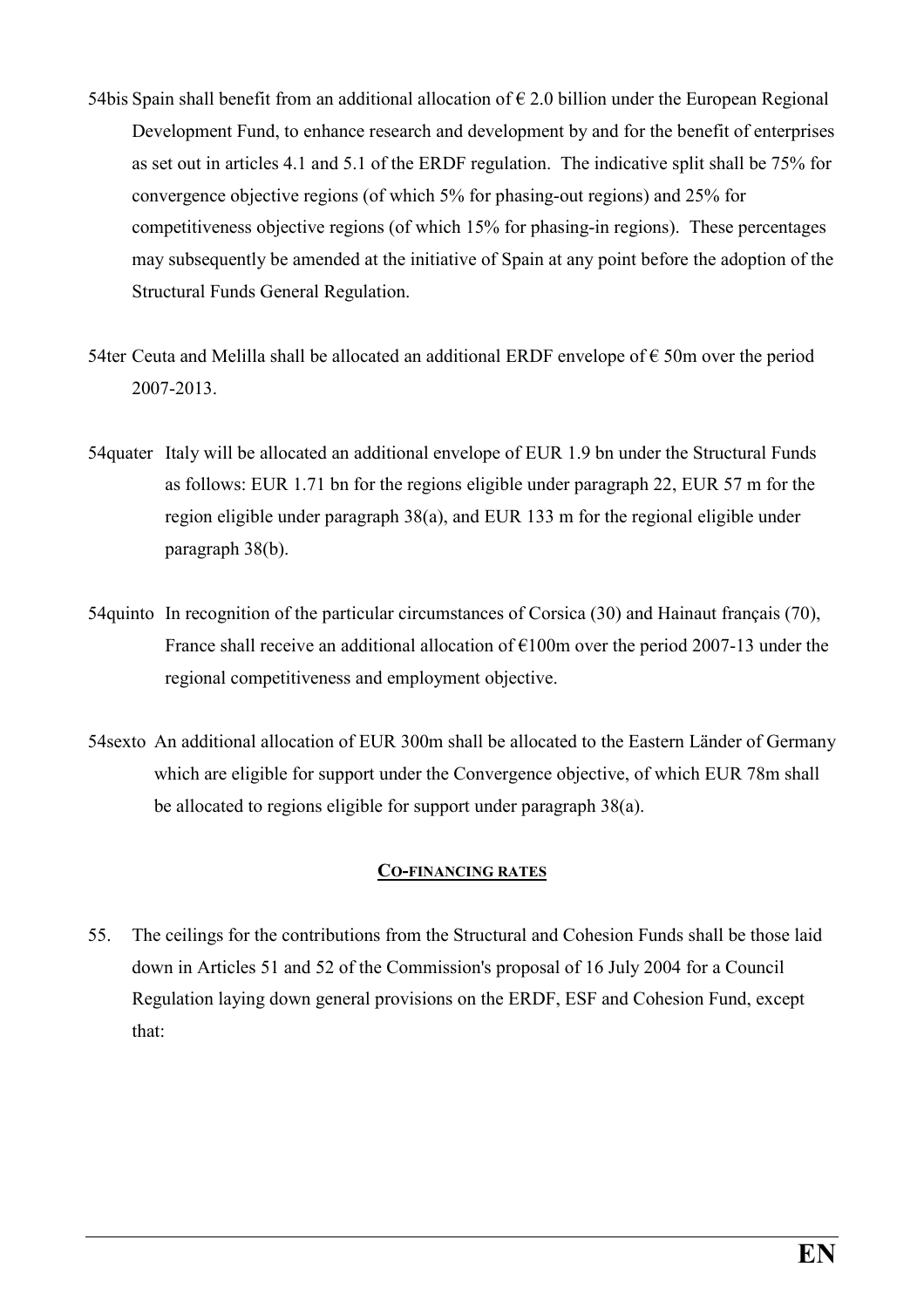- 54bis Spain shall benefit from an additional allocation of  $\epsilon$  2.0 billion under the European Regional Development Fund, to enhance research and development by and for the benefit of enterprises as set out in articles 4.1 and 5.1 of the ERDF regulation. The indicative split shall be 75% for convergence objective regions (of which 5% for phasing-out regions) and 25% for competitiveness objective regions (of which 15% for phasing-in regions). These percentages may subsequently be amended at the initiative of Spain at any point before the adoption of the Structural Funds General Regulation.
- 54ter Ceuta and Melilla shall be allocated an additional ERDF envelope of  $\epsilon$  50m over the period 2007-2013.
- 54quater Italy will be allocated an additional envelope of EUR 1.9 bn under the Structural Funds as follows: EUR 1.71 bn for the regions eligible under paragraph 22, EUR 57 m for the region eligible under paragraph 38(a), and EUR 133 m for the regional eligible under paragraph 38(b).
- 54quinto In recognition of the particular circumstances of Corsica (30) and Hainaut français (70), France shall receive an additional allocation of  $E100m$  over the period 2007-13 under the regional competitiveness and employment objective.
- 54sexto An additional allocation of EUR 300m shall be allocated to the Eastern Länder of Germany which are eligible for support under the Convergence objective, of which EUR 78m shall be allocated to regions eligible for support under paragraph 38(a).

#### CO-FINANCING RATES

55. The ceilings for the contributions from the Structural and Cohesion Funds shall be those laid down in Articles 51 and 52 of the Commission's proposal of 16 July 2004 for a Council Regulation laying down general provisions on the ERDF, ESF and Cohesion Fund, except that: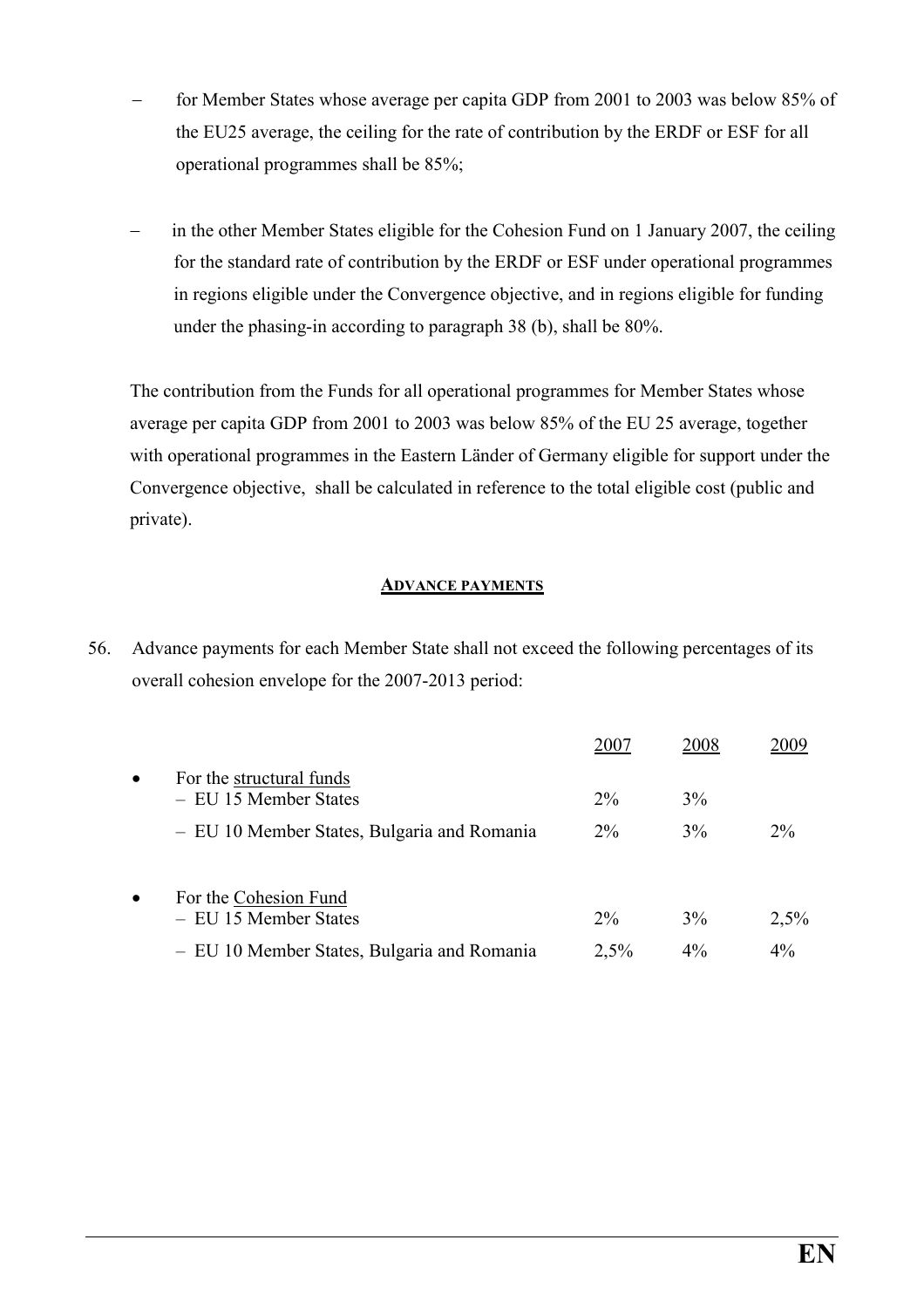- for Member States whose average per capita GDP from 2001 to 2003 was below 85% of the EU25 average, the ceiling for the rate of contribution by the ERDF or ESF for all operational programmes shall be 85%;
- in the other Member States eligible for the Cohesion Fund on 1 January 2007, the ceiling for the standard rate of contribution by the ERDF or ESF under operational programmes in regions eligible under the Convergence objective, and in regions eligible for funding under the phasing-in according to paragraph 38 (b), shall be 80%.

The contribution from the Funds for all operational programmes for Member States whose average per capita GDP from 2001 to 2003 was below 85% of the EU 25 average, together with operational programmes in the Eastern Länder of Germany eligible for support under the Convergence objective, shall be calculated in reference to the total eligible cost (public and private).

#### ADVANCE PAYMENTS

56. Advance payments for each Member State shall not exceed the following percentages of its overall cohesion envelope for the 2007-2013 period:

|           |                                                   | 2007  | 2008  | 2009  |
|-----------|---------------------------------------------------|-------|-------|-------|
| $\bullet$ | For the structural funds<br>- EU 15 Member States | $2\%$ | $3\%$ |       |
|           | - EU 10 Member States, Bulgaria and Romania       | $2\%$ | 3%    | $2\%$ |
| $\bullet$ | For the Cohesion Fund<br>- EU 15 Member States    | $2\%$ | $3\%$ | 2,5%  |
|           | - EU 10 Member States, Bulgaria and Romania       | 2.5%  | 4%    | $4\%$ |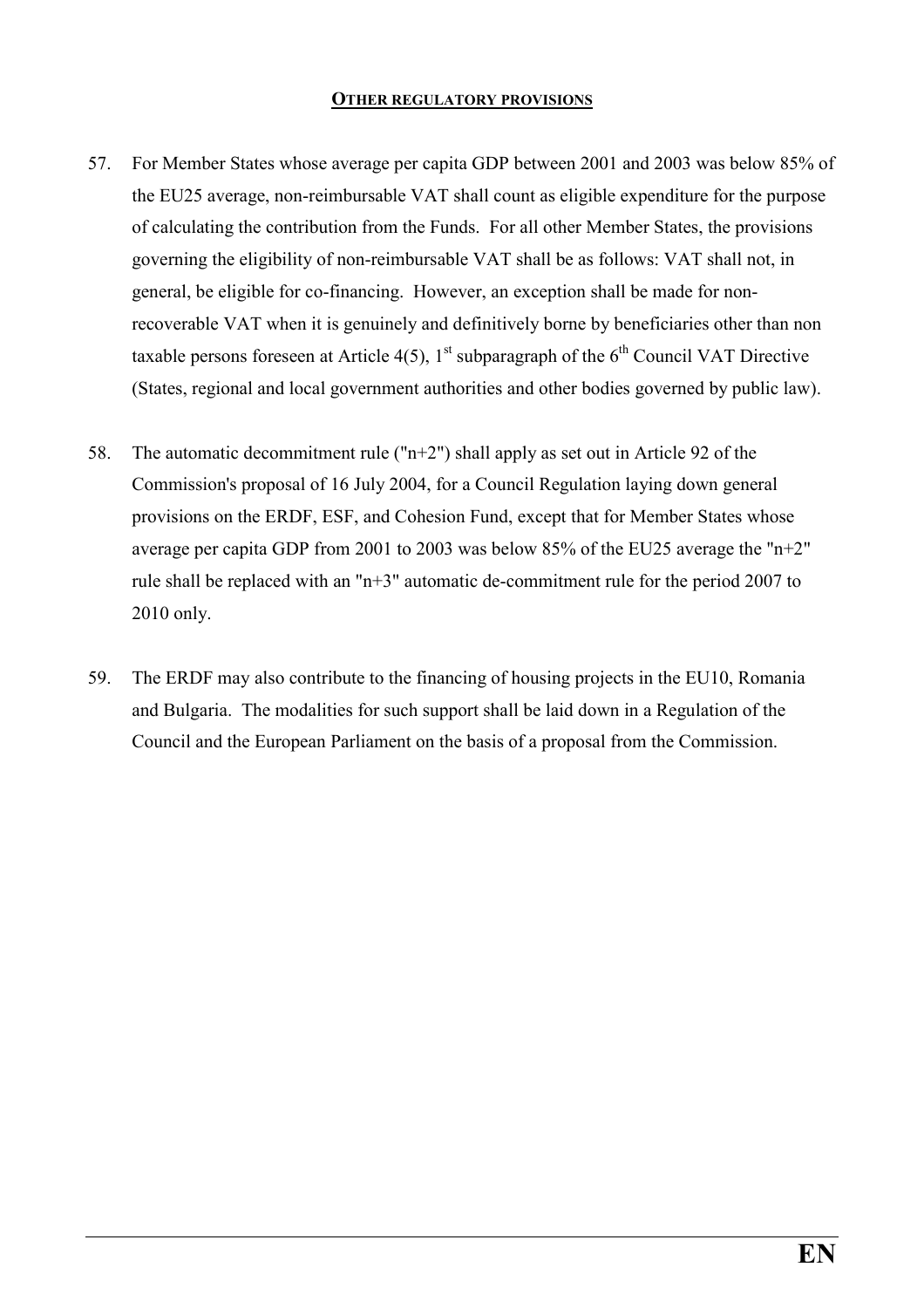#### OTHER REGULATORY PROVISIONS

- 57. For Member States whose average per capita GDP between 2001 and 2003 was below 85% of the EU25 average, non-reimbursable VAT shall count as eligible expenditure for the purpose of calculating the contribution from the Funds. For all other Member States, the provisions governing the eligibility of non-reimbursable VAT shall be as follows: VAT shall not, in general, be eligible for co-financing. However, an exception shall be made for nonrecoverable VAT when it is genuinely and definitively borne by beneficiaries other than non taxable persons foreseen at Article 4(5),  $1<sup>st</sup>$  subparagraph of the 6<sup>th</sup> Council VAT Directive (States, regional and local government authorities and other bodies governed by public law).
- 58. The automatic decommitment rule ( $n+2$ ) shall apply as set out in Article 92 of the Commission's proposal of 16 July 2004, for a Council Regulation laying down general provisions on the ERDF, ESF, and Cohesion Fund, except that for Member States whose average per capita GDP from 2001 to 2003 was below 85% of the EU25 average the "n+2" rule shall be replaced with an "n+3" automatic de-commitment rule for the period 2007 to 2010 only.
- 59. The ERDF may also contribute to the financing of housing projects in the EU10, Romania and Bulgaria. The modalities for such support shall be laid down in a Regulation of the Council and the European Parliament on the basis of a proposal from the Commission.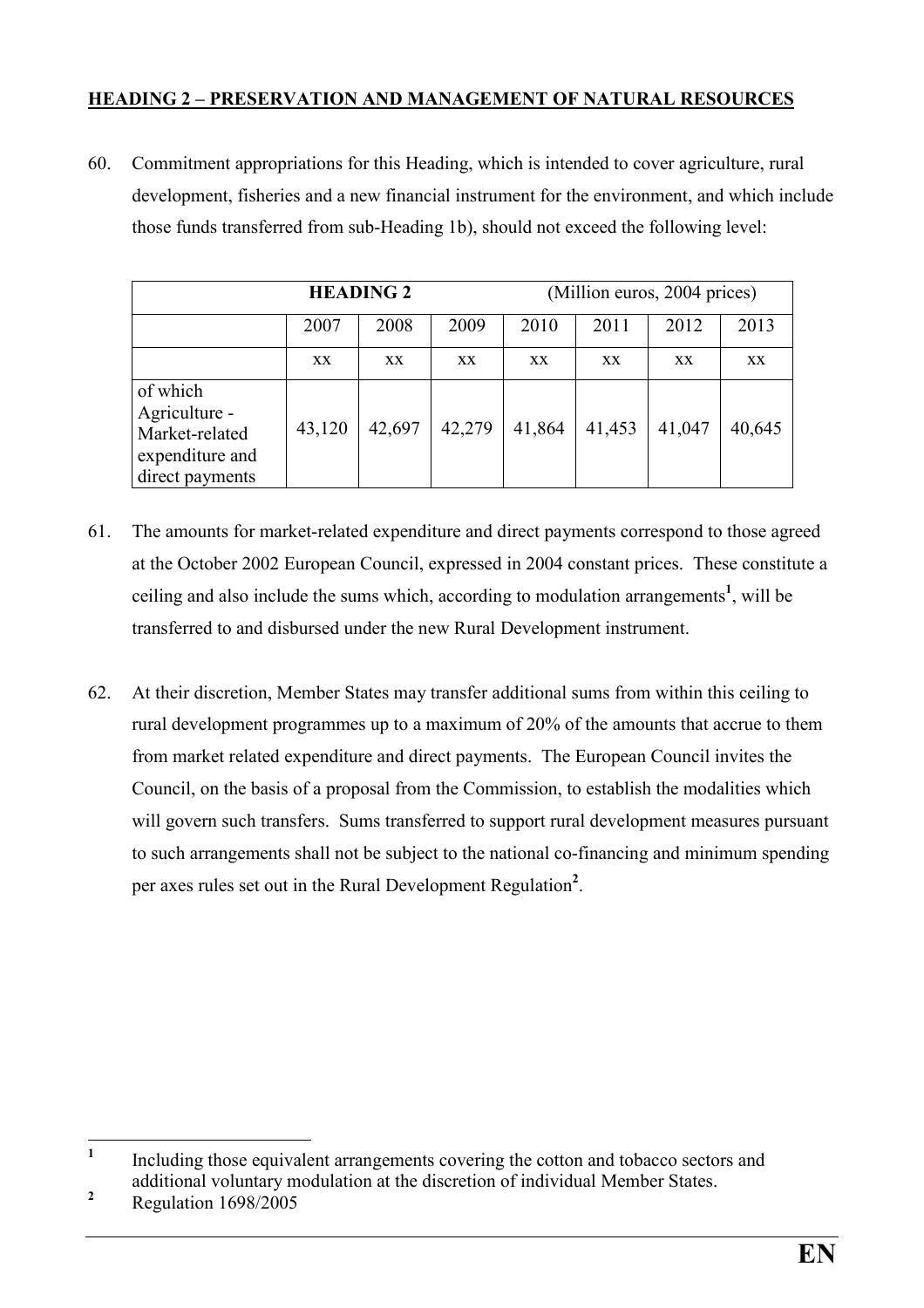#### HEADING 2 – PRESERVATION AND MANAGEMENT OF NATURAL RESOURCES

60. Commitment appropriations for this Heading, which is intended to cover agriculture, rural development, fisheries and a new financial instrument for the environment, and which include those funds transferred from sub-Heading 1b), should not exceed the following level:

|                                                                                   | <b>HEADING 2</b> |        |        |        |        | (Million euros, 2004 prices) |        |
|-----------------------------------------------------------------------------------|------------------|--------|--------|--------|--------|------------------------------|--------|
|                                                                                   | 2007             | 2008   | 2009   | 2010   | 2011   | 2012                         | 2013   |
|                                                                                   | XX.              | XX.    | XX.    | XX.    | XX     | XX.                          | XX     |
| of which<br>Agriculture -<br>Market-related<br>expenditure and<br>direct payments | 43,120           | 42,697 | 42,279 | 41,864 | 41,453 | 41,047                       | 40,645 |

- 61. The amounts for market-related expenditure and direct payments correspond to those agreed at the October 2002 European Council, expressed in 2004 constant prices. These constitute a ceiling and also include the sums which, according to modulation arrangements<sup>1</sup>, will be transferred to and disbursed under the new Rural Development instrument.
- 62. At their discretion, Member States may transfer additional sums from within this ceiling to rural development programmes up to a maximum of 20% of the amounts that accrue to them from market related expenditure and direct payments. The European Council invites the Council, on the basis of a proposal from the Commission, to establish the modalities which will govern such transfers. Sums transferred to support rural development measures pursuant to such arrangements shall not be subject to the national co-financing and minimum spending per axes rules set out in the Rural Development Regulation<sup>2</sup>.

 $\frac{1}{1}$  Including those equivalent arrangements covering the cotton and tobacco sectors and additional voluntary modulation at the discretion of individual Member States.

<sup>2</sup> Regulation 1698/2005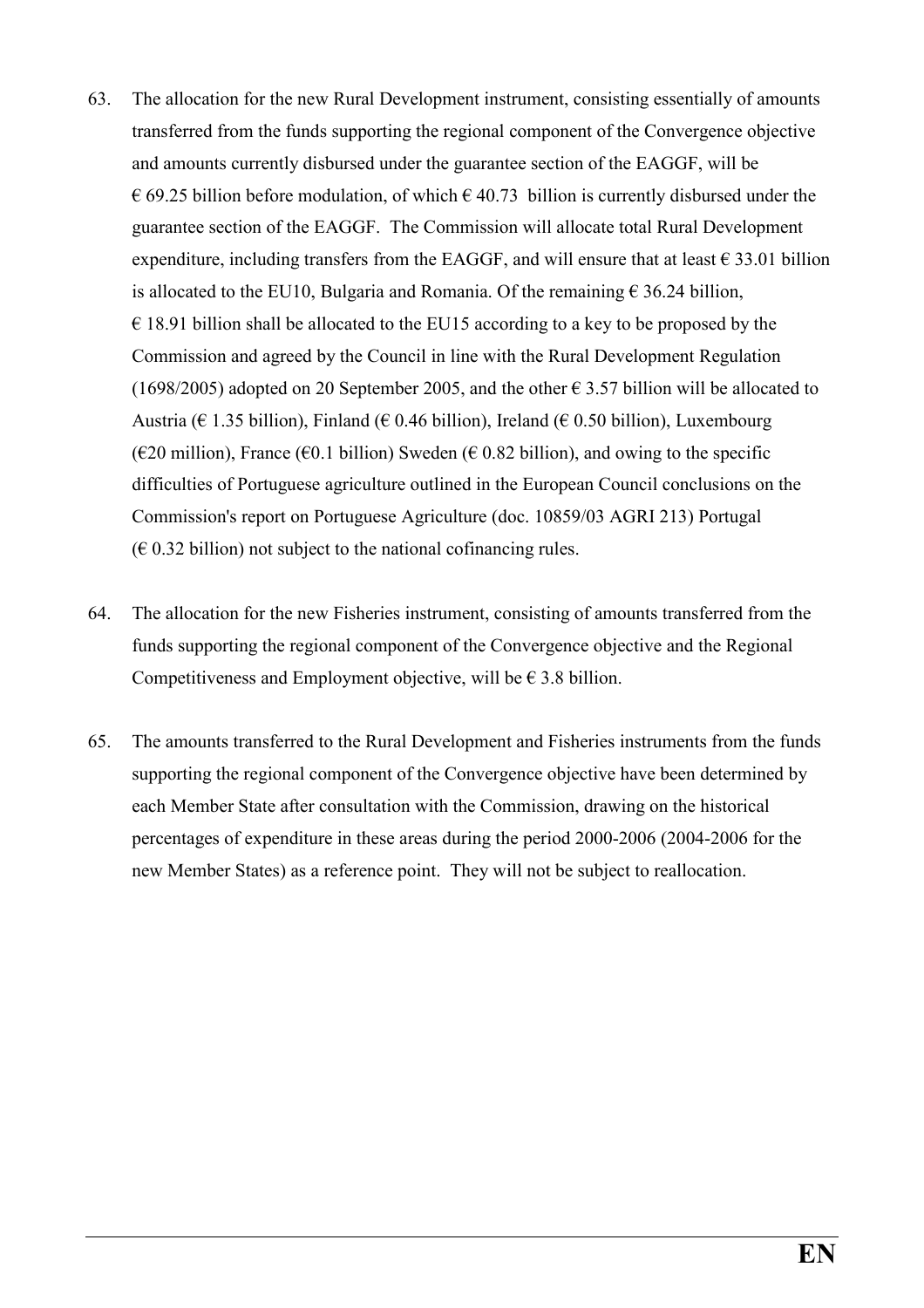- 63. The allocation for the new Rural Development instrument, consisting essentially of amounts transferred from the funds supporting the regional component of the Convergence objective and amounts currently disbursed under the guarantee section of the EAGGF, will be  $\epsilon$  69.25 billion before modulation, of which  $\epsilon$  40.73 billion is currently disbursed under the guarantee section of the EAGGF. The Commission will allocate total Rural Development expenditure, including transfers from the EAGGF, and will ensure that at least  $\epsilon$  33.01 billion is allocated to the EU10, Bulgaria and Romania. Of the remaining  $\epsilon$  36.24 billion,  $\epsilon$  18.91 billion shall be allocated to the EU15 according to a key to be proposed by the Commission and agreed by the Council in line with the Rural Development Regulation (1698/2005) adopted on 20 September 2005, and the other  $\epsilon$  3.57 billion will be allocated to Austria ( $\in$  1.35 billion), Finland ( $\in$  0.46 billion), Ireland ( $\in$  0.50 billion), Luxembourg  $(€20$  million), France  $(€0.1$  billion) Sweden  $(€0.82$  billion), and owing to the specific difficulties of Portuguese agriculture outlined in the European Council conclusions on the Commission's report on Portuguese Agriculture (doc. 10859/03 AGRI 213) Portugal  $(\in 0.32 \text{ billion})$  not subject to the national cofinancing rules.
- 64. The allocation for the new Fisheries instrument, consisting of amounts transferred from the funds supporting the regional component of the Convergence objective and the Regional Competitiveness and Employment objective, will be  $\epsilon$  3.8 billion.
- 65. The amounts transferred to the Rural Development and Fisheries instruments from the funds supporting the regional component of the Convergence objective have been determined by each Member State after consultation with the Commission, drawing on the historical percentages of expenditure in these areas during the period 2000-2006 (2004-2006 for the new Member States) as a reference point. They will not be subject to reallocation.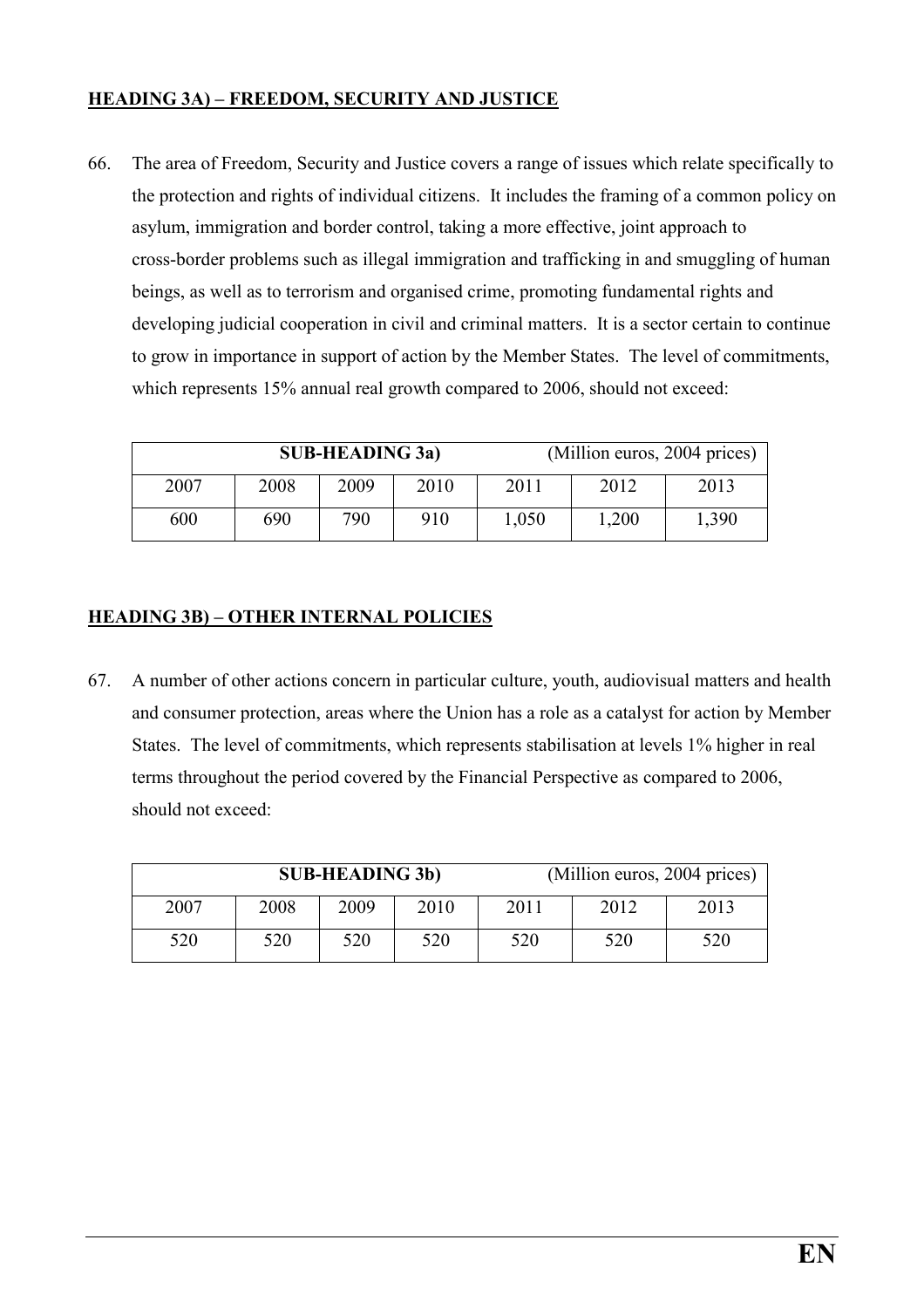#### HEADING 3A) – FREEDOM, SECURITY AND JUSTICE

66. The area of Freedom, Security and Justice covers a range of issues which relate specifically to the protection and rights of individual citizens. It includes the framing of a common policy on asylum, immigration and border control, taking a more effective, joint approach to cross-border problems such as illegal immigration and trafficking in and smuggling of human beings, as well as to terrorism and organised crime, promoting fundamental rights and developing judicial cooperation in civil and criminal matters. It is a sector certain to continue to grow in importance in support of action by the Member States. The level of commitments, which represents 15% annual real growth compared to 2006, should not exceed:

|      |      | <b>SUB-HEADING 3a)</b> |      | (Million euros, 2004 prices) |       |       |
|------|------|------------------------|------|------------------------------|-------|-------|
| 2007 | 2008 | 2009                   | 2010 | 2011                         | 2012  | 2013  |
| 600  | 690  | 790                    | 910  | 1,050                        | 1,200 | 1,390 |

#### HEADING 3B) – OTHER INTERNAL POLICIES

67. A number of other actions concern in particular culture, youth, audiovisual matters and health and consumer protection, areas where the Union has a role as a catalyst for action by Member States. The level of commitments, which represents stabilisation at levels 1% higher in real terms throughout the period covered by the Financial Perspective as compared to 2006, should not exceed:

|      |      | <b>SUB-HEADING 3b)</b> |      | (Million euros, 2004 prices) |      |      |
|------|------|------------------------|------|------------------------------|------|------|
| 2007 | 2008 | 2009                   | 2010 | 2011                         | 2012 | 2013 |
| 520  | 520  | 520                    | 520  | 520                          | 520  | 520  |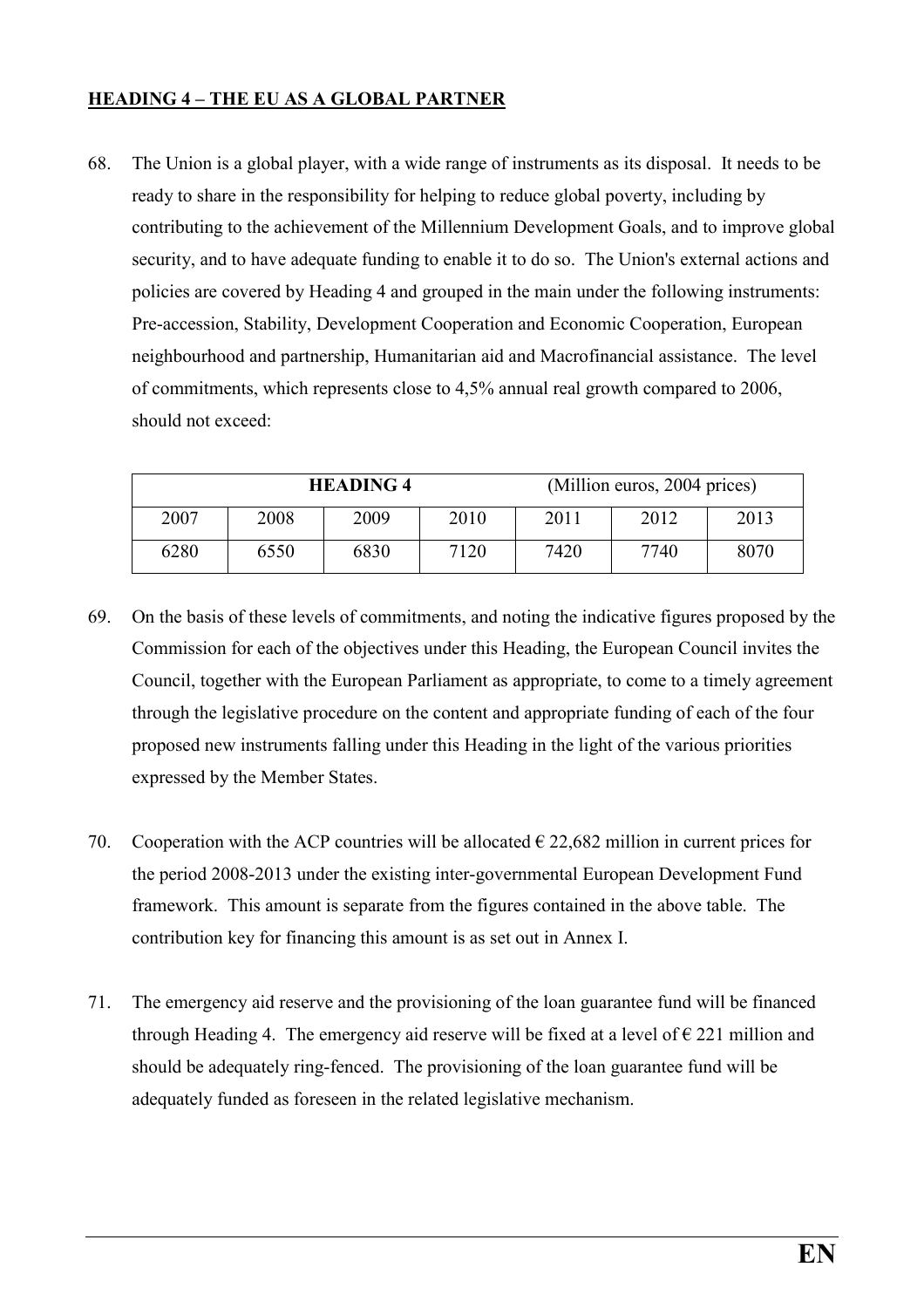#### HEADING 4 – THE EU AS A GLOBAL PARTNER

68. The Union is a global player, with a wide range of instruments as its disposal. It needs to be ready to share in the responsibility for helping to reduce global poverty, including by contributing to the achievement of the Millennium Development Goals, and to improve global security, and to have adequate funding to enable it to do so. The Union's external actions and policies are covered by Heading 4 and grouped in the main under the following instruments: Pre-accession, Stability, Development Cooperation and Economic Cooperation, European neighbourhood and partnership, Humanitarian aid and Macrofinancial assistance. The level of commitments, which represents close to 4,5% annual real growth compared to 2006, should not exceed:

| <b>HEADING 4</b> |      |      |      |      | (Million euros, 2004 prices) |      |
|------------------|------|------|------|------|------------------------------|------|
| 2007             | 2008 | 2009 | 2010 | 2011 | 2012                         | 2013 |
| 6280             | 6550 | 6830 | 7120 | 7420 | 7740                         | 8070 |

- 69. On the basis of these levels of commitments, and noting the indicative figures proposed by the Commission for each of the objectives under this Heading, the European Council invites the Council, together with the European Parliament as appropriate, to come to a timely agreement through the legislative procedure on the content and appropriate funding of each of the four proposed new instruments falling under this Heading in the light of the various priorities expressed by the Member States.
- 70. Cooperation with the ACP countries will be allocated  $\epsilon$  22,682 million in current prices for the period 2008-2013 under the existing inter-governmental European Development Fund framework. This amount is separate from the figures contained in the above table. The contribution key for financing this amount is as set out in Annex I.
- 71. The emergency aid reserve and the provisioning of the loan guarantee fund will be financed through Heading 4. The emergency aid reserve will be fixed at a level of  $\epsilon$  221 million and should be adequately ring-fenced. The provisioning of the loan guarantee fund will be adequately funded as foreseen in the related legislative mechanism.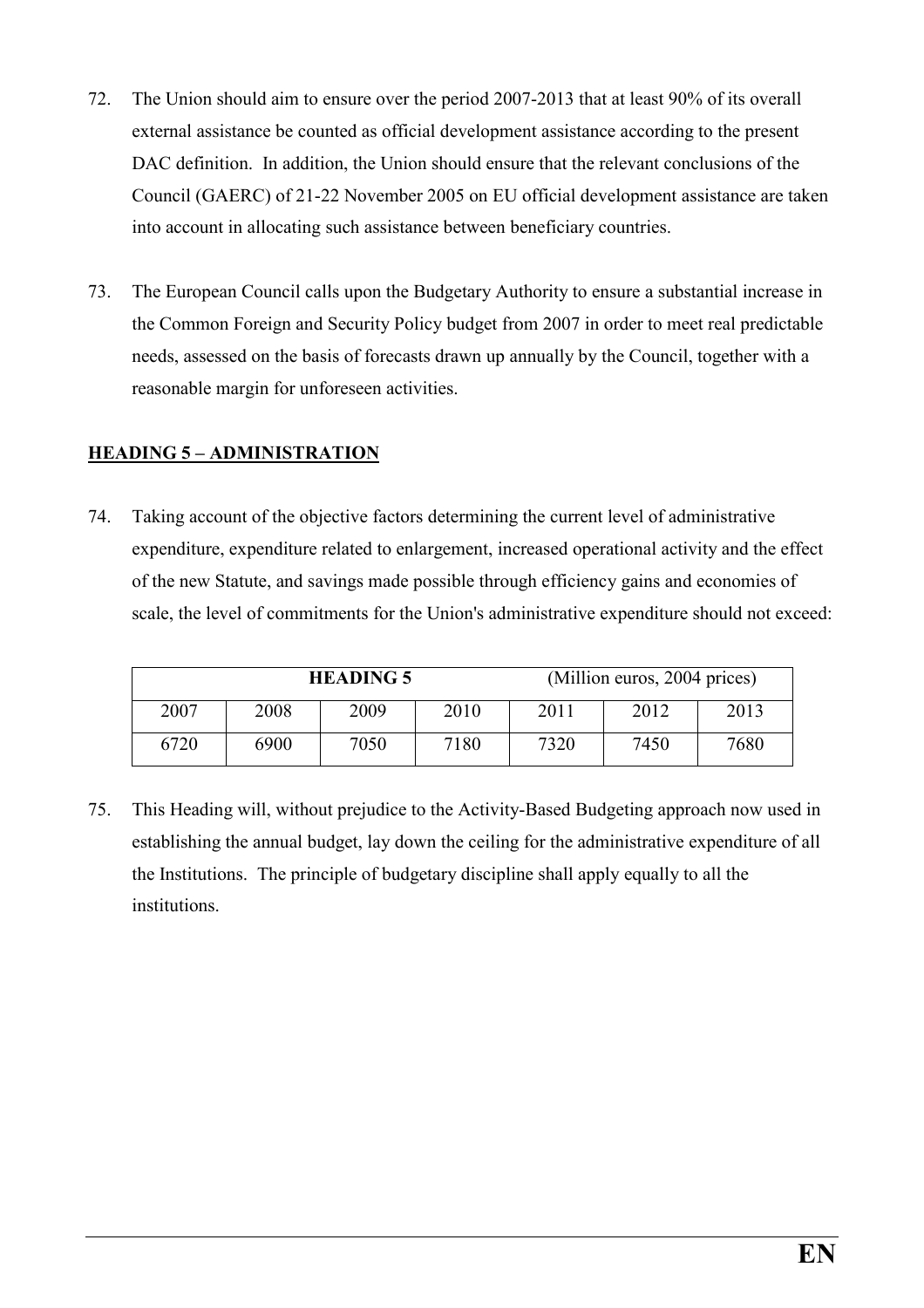- 72. The Union should aim to ensure over the period 2007-2013 that at least 90% of its overall external assistance be counted as official development assistance according to the present DAC definition. In addition, the Union should ensure that the relevant conclusions of the Council (GAERC) of 21-22 November 2005 on EU official development assistance are taken into account in allocating such assistance between beneficiary countries.
- 73. The European Council calls upon the Budgetary Authority to ensure a substantial increase in the Common Foreign and Security Policy budget from 2007 in order to meet real predictable needs, assessed on the basis of forecasts drawn up annually by the Council, together with a reasonable margin for unforeseen activities.

#### HEADING 5 – ADMINISTRATION

74. Taking account of the objective factors determining the current level of administrative expenditure, expenditure related to enlargement, increased operational activity and the effect of the new Statute, and savings made possible through efficiency gains and economies of scale, the level of commitments for the Union's administrative expenditure should not exceed:

| <b>HEADING 5</b> |      |      |      |      | (Million euros, 2004 prices) |      |
|------------------|------|------|------|------|------------------------------|------|
| 2007             | 2008 | 2009 | 2010 | 2011 | 2012                         | 2013 |
| 6720             | 6900 | 7050 | 7180 | 7320 | 7450                         | 7680 |

75. This Heading will, without prejudice to the Activity-Based Budgeting approach now used in establishing the annual budget, lay down the ceiling for the administrative expenditure of all the Institutions. The principle of budgetary discipline shall apply equally to all the institutions.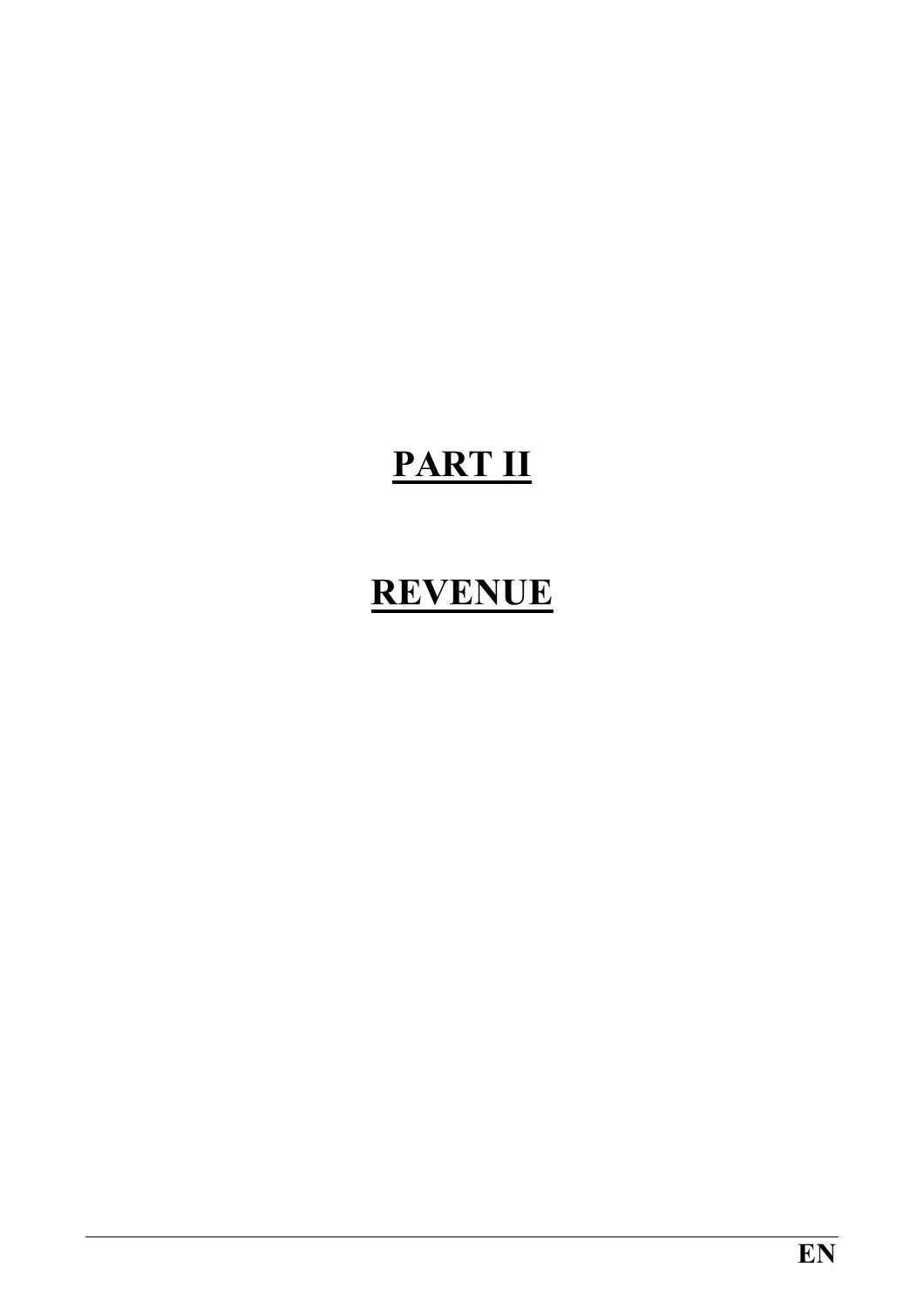# PART II

### REVENUE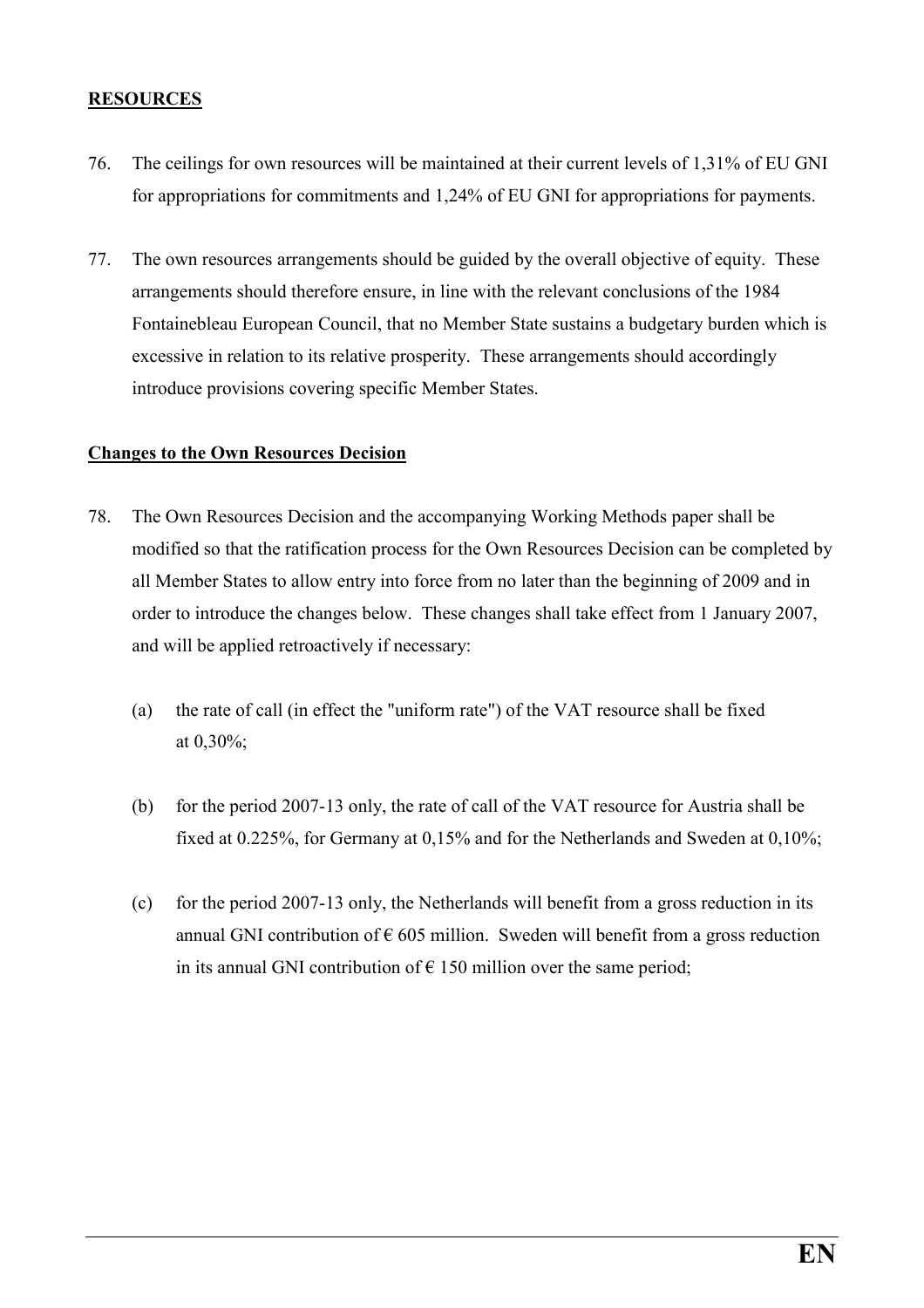#### RESOURCES

- 76. The ceilings for own resources will be maintained at their current levels of 1,31% of EU GNI for appropriations for commitments and 1,24% of EU GNI for appropriations for payments.
- 77. The own resources arrangements should be guided by the overall objective of equity. These arrangements should therefore ensure, in line with the relevant conclusions of the 1984 Fontainebleau European Council, that no Member State sustains a budgetary burden which is excessive in relation to its relative prosperity. These arrangements should accordingly introduce provisions covering specific Member States.

#### Changes to the Own Resources Decision

- 78. The Own Resources Decision and the accompanying Working Methods paper shall be modified so that the ratification process for the Own Resources Decision can be completed by all Member States to allow entry into force from no later than the beginning of 2009 and in order to introduce the changes below. These changes shall take effect from 1 January 2007, and will be applied retroactively if necessary:
	- (a) the rate of call (in effect the "uniform rate") of the VAT resource shall be fixed at 0,30%;
	- (b) for the period 2007-13 only, the rate of call of the VAT resource for Austria shall be fixed at 0.225%, for Germany at 0,15% and for the Netherlands and Sweden at 0,10%;
	- (c) for the period 2007-13 only, the Netherlands will benefit from a gross reduction in its annual GNI contribution of  $\epsilon$  605 million. Sweden will benefit from a gross reduction in its annual GNI contribution of  $\epsilon$  150 million over the same period;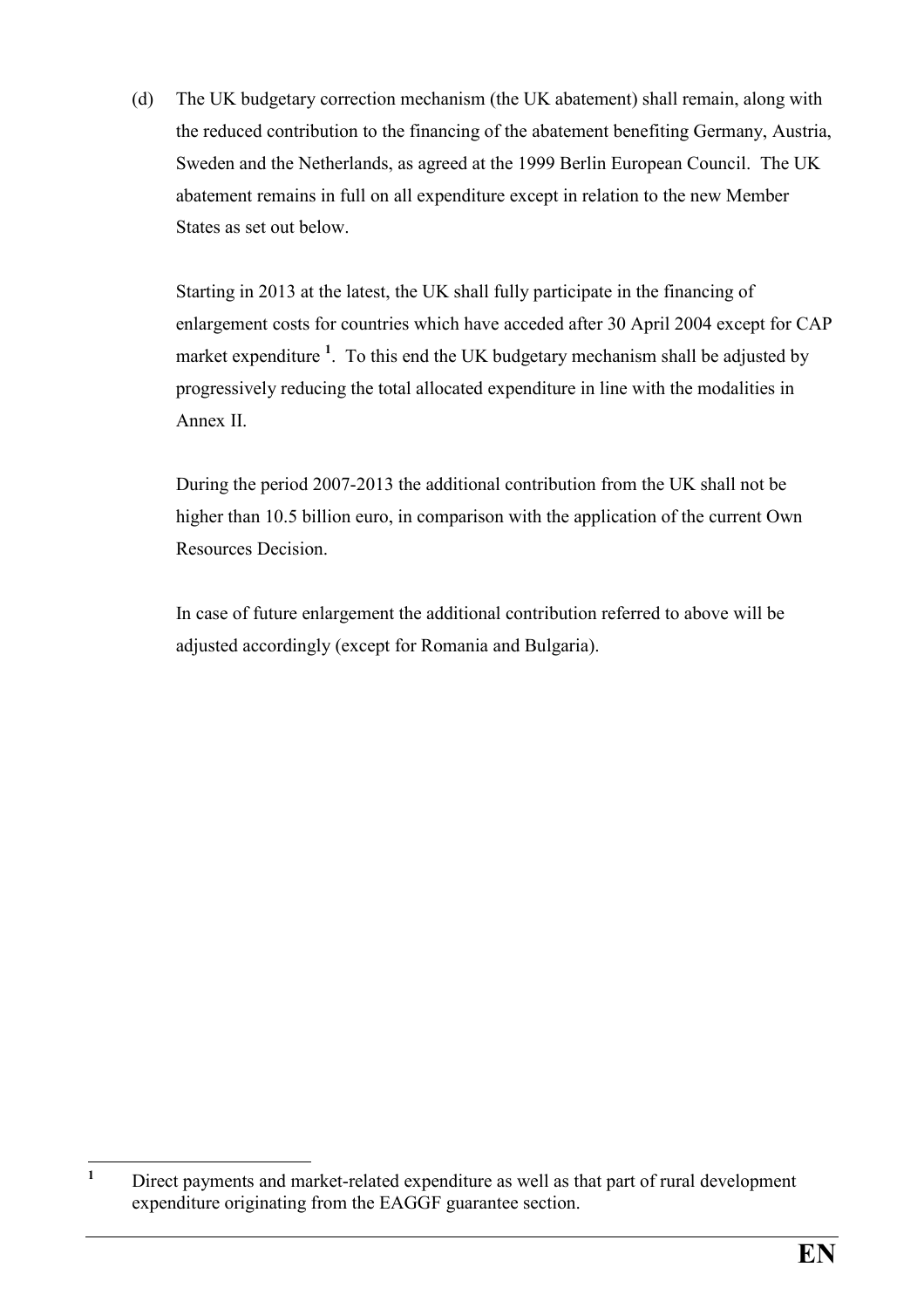(d) The UK budgetary correction mechanism (the UK abatement) shall remain, along with the reduced contribution to the financing of the abatement benefiting Germany, Austria, Sweden and the Netherlands, as agreed at the 1999 Berlin European Council. The UK abatement remains in full on all expenditure except in relation to the new Member States as set out below.

Starting in 2013 at the latest, the UK shall fully participate in the financing of enlargement costs for countries which have acceded after 30 April 2004 except for CAP market expenditure  $<sup>1</sup>$ . To this end the UK budgetary mechanism shall be adjusted by</sup> progressively reducing the total allocated expenditure in line with the modalities in Annex II.

During the period 2007-2013 the additional contribution from the UK shall not be higher than 10.5 billion euro, in comparison with the application of the current Own Resources Decision.

In case of future enlargement the additional contribution referred to above will be adjusted accordingly (except for Romania and Bulgaria).

 $\frac{1}{1}$  Direct payments and market-related expenditure as well as that part of rural development expenditure originating from the EAGGF guarantee section.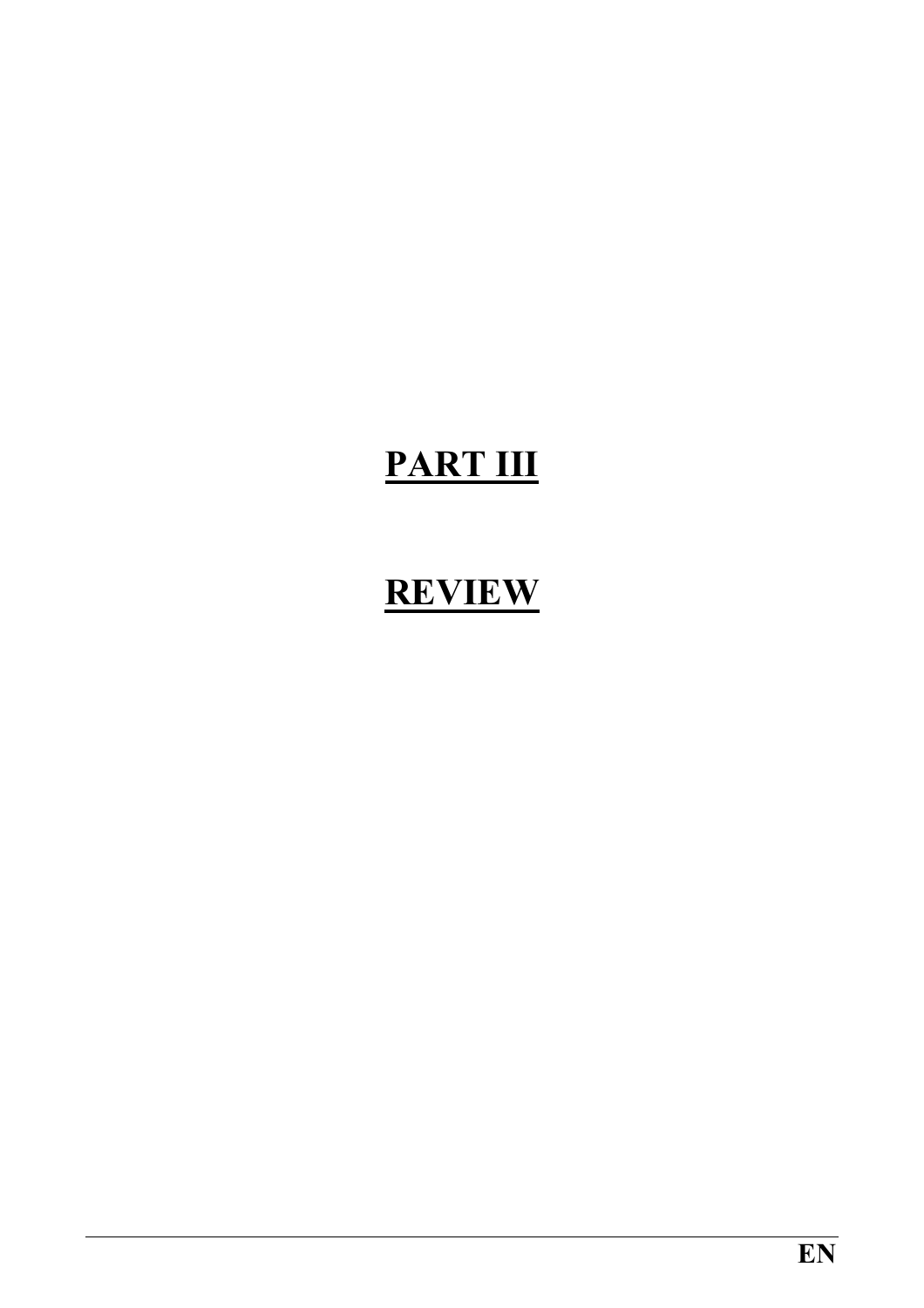# PART III

## **REVIEW**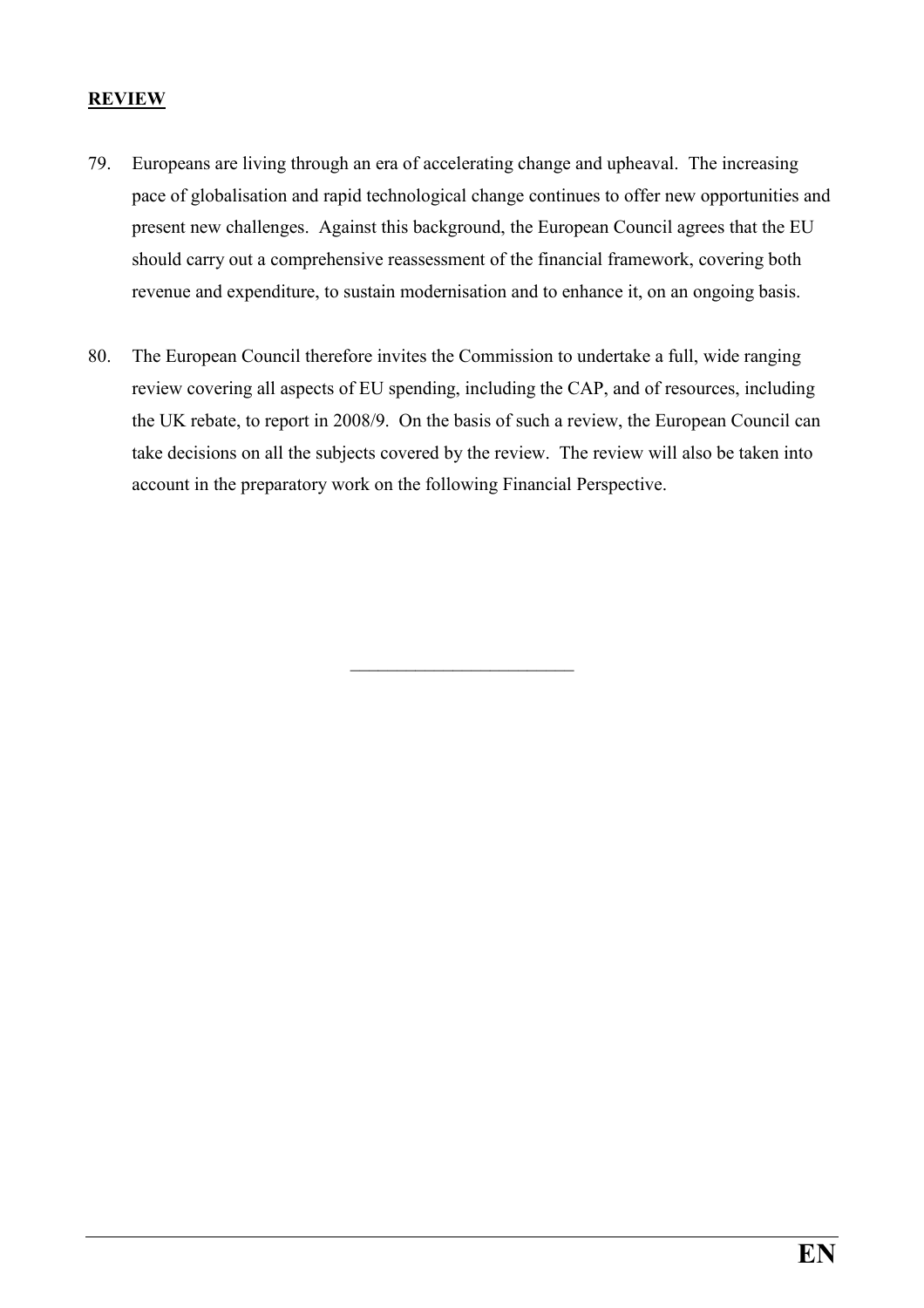#### **REVIEW**

- 79. Europeans are living through an era of accelerating change and upheaval. The increasing pace of globalisation and rapid technological change continues to offer new opportunities and present new challenges. Against this background, the European Council agrees that the EU should carry out a comprehensive reassessment of the financial framework, covering both revenue and expenditure, to sustain modernisation and to enhance it, on an ongoing basis.
- 80. The European Council therefore invites the Commission to undertake a full, wide ranging review covering all aspects of EU spending, including the CAP, and of resources, including the UK rebate, to report in 2008/9. On the basis of such a review, the European Council can take decisions on all the subjects covered by the review. The review will also be taken into account in the preparatory work on the following Financial Perspective.

\_\_\_\_\_\_\_\_\_\_\_\_\_\_\_\_\_\_\_\_\_\_\_\_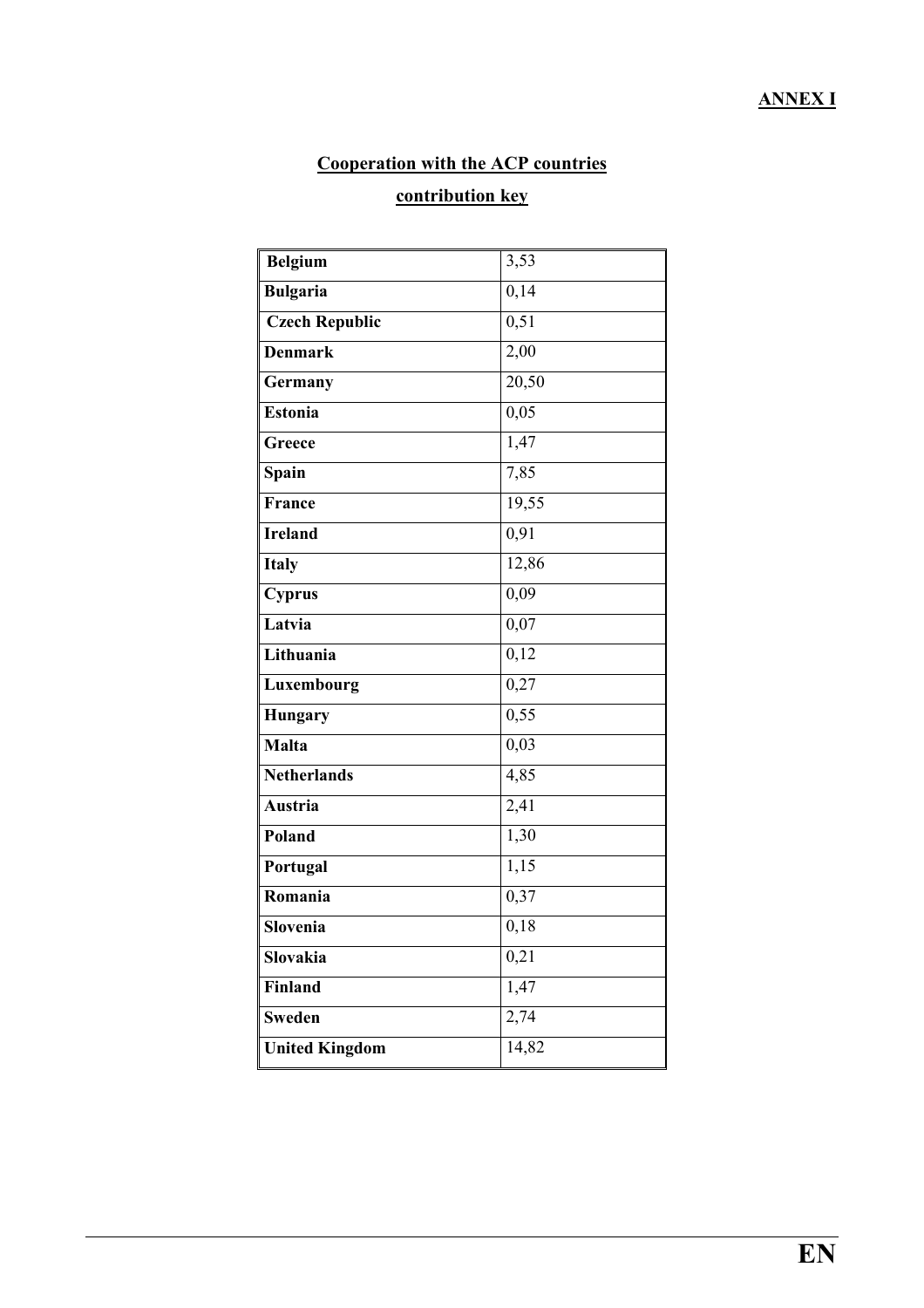### ANNEX I

### Cooperation with the ACP countries

### contribution key

| <b>Belgium</b>        | 3,53  |
|-----------------------|-------|
| <b>Bulgaria</b>       | 0,14  |
| <b>Czech Republic</b> | 0,51  |
| <b>Denmark</b>        | 2,00  |
| Germany               | 20,50 |
| Estonia               | 0,05  |
| Greece                | 1,47  |
| Spain                 | 7,85  |
| France                | 19,55 |
| <b>Ireland</b>        | 0,91  |
| <b>Italy</b>          | 12,86 |
| <b>Cyprus</b>         | 0,09  |
| Latvia                | 0,07  |
| Lithuania             | 0,12  |
| Luxembourg            | 0,27  |
| <b>Hungary</b>        | 0,55  |
| Malta                 | 0,03  |
| <b>Netherlands</b>    | 4,85  |
| <b>Austria</b>        | 2,41  |
| Poland                | 1,30  |
| Portugal              | 1,15  |
| Romania               | 0,37  |
| Slovenia              | 0,18  |
| Slovakia              | 0,21  |
| Finland               | 1,47  |
| Sweden                | 2,74  |
| <b>United Kingdom</b> | 14,82 |